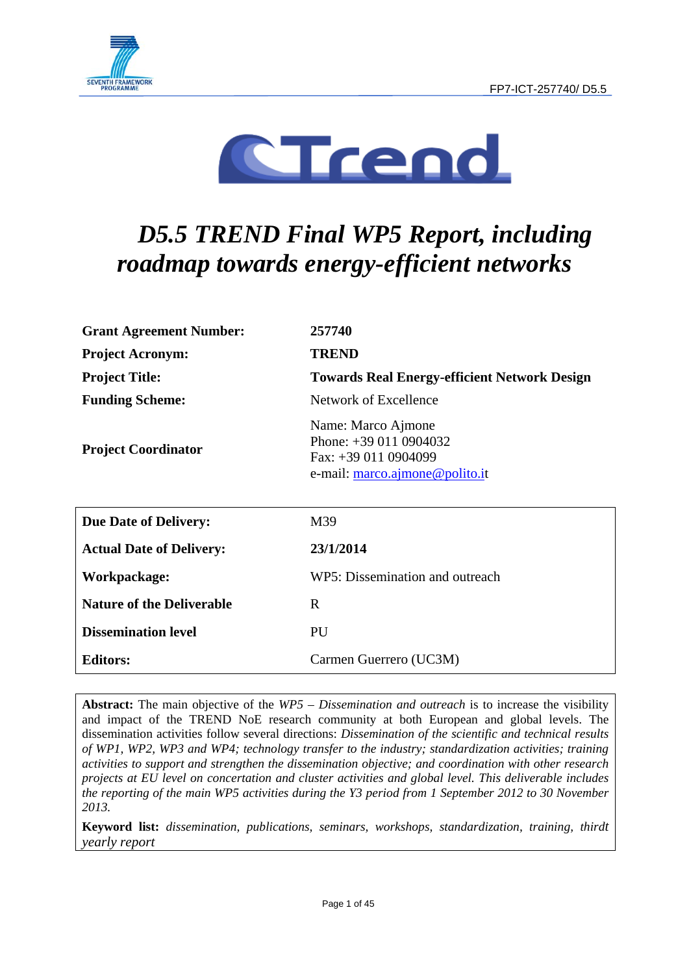



# *D5.5 TREND Final WP5 Report, including roadmap towards energy-efficient networks*

| <b>Grant Agreement Number:</b>   | 257740                                                                                                 |  |  |
|----------------------------------|--------------------------------------------------------------------------------------------------------|--|--|
| <b>Project Acronym:</b>          | <b>TREND</b>                                                                                           |  |  |
| <b>Project Title:</b>            | <b>Towards Real Energy-efficient Network Design</b>                                                    |  |  |
| <b>Funding Scheme:</b>           | Network of Excellence                                                                                  |  |  |
| <b>Project Coordinator</b>       | Name: Marco Ajmone<br>Phone: $+390110904032$<br>Fax: $+390110904099$<br>e-mail: marco.ajmone@polito.it |  |  |
| <b>Due Date of Delivery:</b>     | M39                                                                                                    |  |  |
| <b>Actual Date of Delivery:</b>  | 23/1/2014                                                                                              |  |  |
| Workpackage:                     | WP5: Dissemination and outreach                                                                        |  |  |
| <b>Nature of the Deliverable</b> | $\mathbf{R}$                                                                                           |  |  |
| <b>Dissemination level</b>       | PU                                                                                                     |  |  |
| <b>Editors:</b>                  | Carmen Guerrero (UC3M)                                                                                 |  |  |

**Abstract:** The main objective of the *WP5 – Dissemination and outreach* is to increase the visibility and impact of the TREND NoE research community at both European and global levels. The dissemination activities follow several directions: *Dissemination of the scientific and technical results of WP1, WP2, WP3 and WP4; technology transfer to the industry; standardization activities; training activities to support and strengthen the dissemination objective; and coordination with other research projects at EU level on concertation and cluster activities and global level. This deliverable includes the reporting of the main WP5 activities during the Y3 period from 1 September 2012 to 30 November 2013.*

**Keyword list:** *dissemination, publications, seminars, workshops, standardization, training, thirdt yearly report*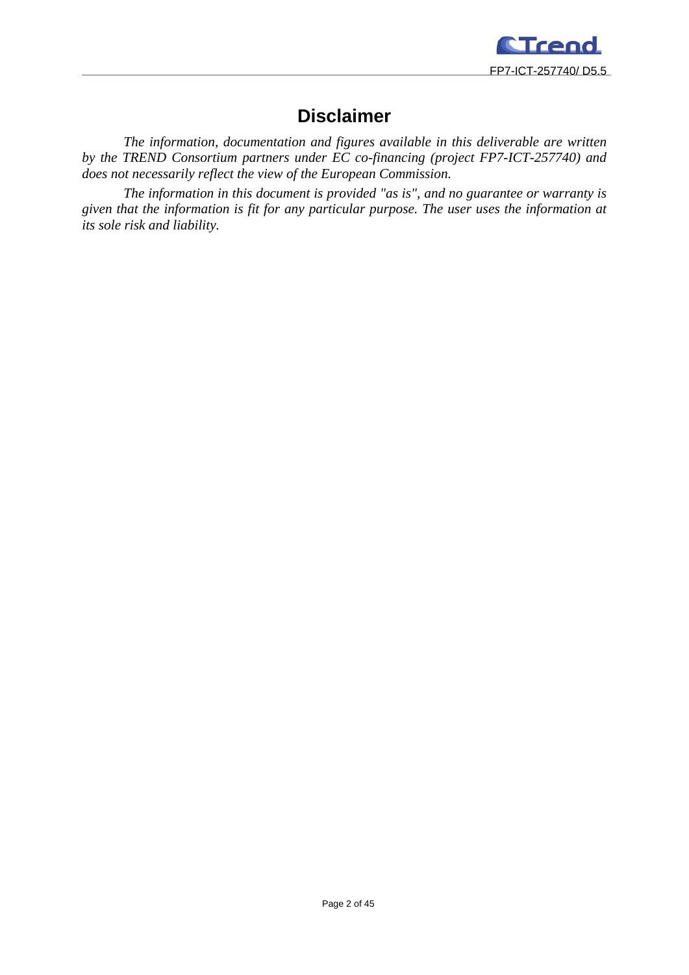

### **Disclaimer**

*The information, documentation and figures available in this deliverable are written by the TREND Consortium partners under EC co-financing (project FP7-ICT-257740) and does not necessarily reflect the view of the European Commission.* 

*The information in this document is provided "as is", and no guarantee or warranty is given that the information is fit for any particular purpose. The user uses the information at its sole risk and liability.*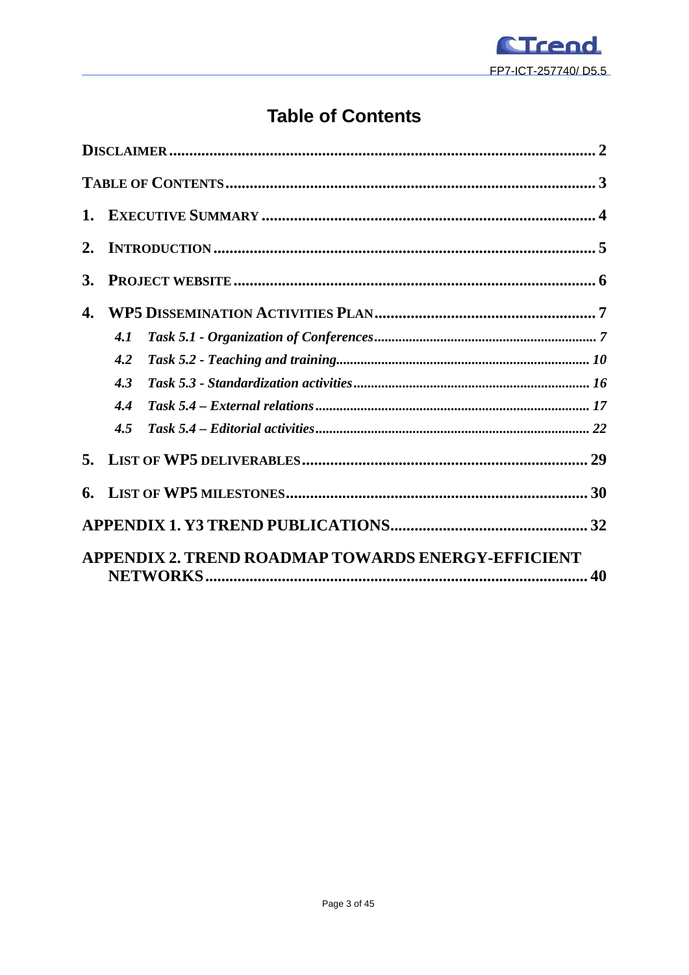

# **Table of Contents**

| 1. |     |                                                    |  |
|----|-----|----------------------------------------------------|--|
| 2. |     |                                                    |  |
| 3. |     |                                                    |  |
| 4. |     |                                                    |  |
|    | 4.1 |                                                    |  |
|    | 4.2 |                                                    |  |
|    | 4.3 |                                                    |  |
|    | 4.4 |                                                    |  |
|    | 4.5 |                                                    |  |
|    |     |                                                    |  |
| 6. |     |                                                    |  |
|    |     |                                                    |  |
|    |     | APPENDIX 2. TREND ROADMAP TOWARDS ENERGY-EFFICIENT |  |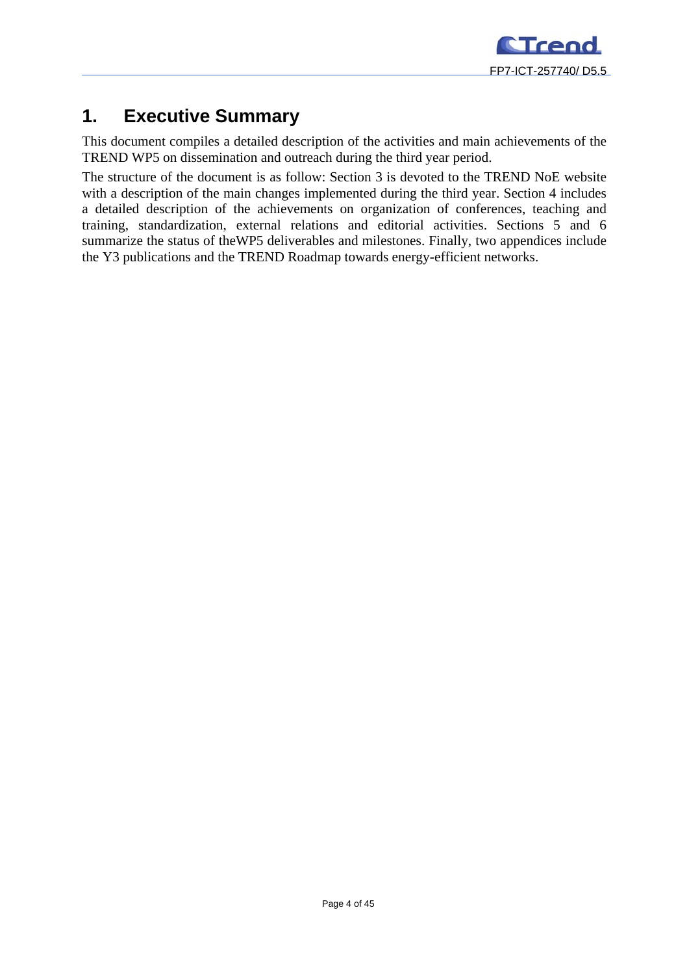

## **1. Executive Summary**

This document compiles a detailed description of the activities and main achievements of the TREND WP5 on dissemination and outreach during the third year period.

The structure of the document is as follow: Section 3 is devoted to the TREND NoE website with a description of the main changes implemented during the third year. Section 4 includes a detailed description of the achievements on organization of conferences, teaching and training, standardization, external relations and editorial activities. Sections 5 and 6 summarize the status of theWP5 deliverables and milestones. Finally, two appendices include the Y3 publications and the TREND Roadmap towards energy-efficient networks.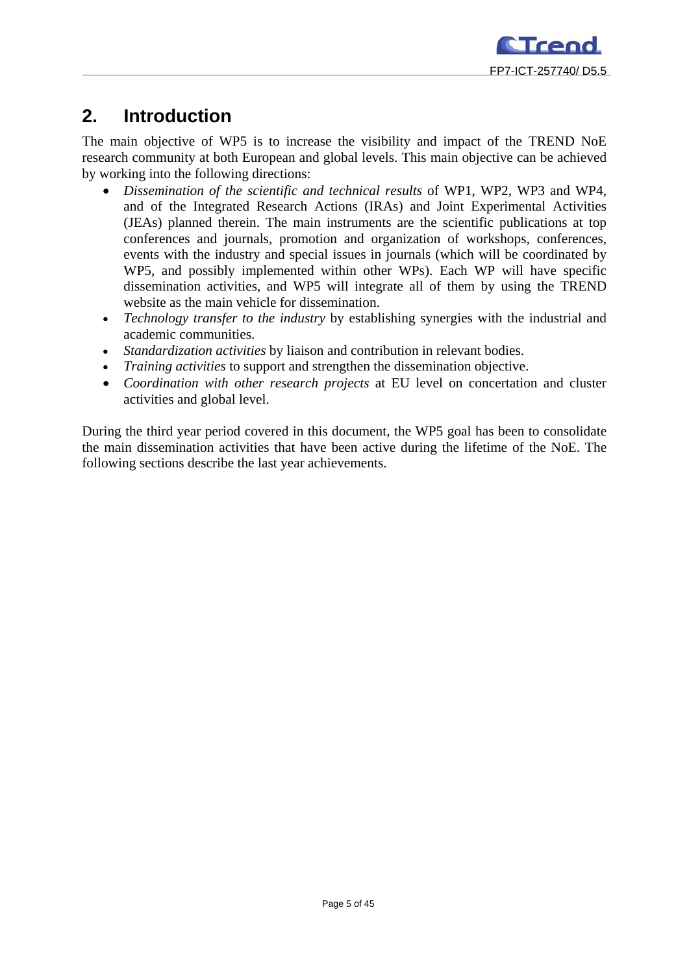

### **2. Introduction**

The main objective of WP5 is to increase the visibility and impact of the TREND NoE research community at both European and global levels. This main objective can be achieved by working into the following directions:

- *Dissemination of the scientific and technical results* of WP1, WP2, WP3 and WP4, and of the Integrated Research Actions (IRAs) and Joint Experimental Activities (JEAs) planned therein. The main instruments are the scientific publications at top conferences and journals, promotion and organization of workshops, conferences, events with the industry and special issues in journals (which will be coordinated by WP5, and possibly implemented within other WPs). Each WP will have specific dissemination activities, and WP5 will integrate all of them by using the TREND website as the main vehicle for dissemination.
- *Technology transfer to the industry* by establishing synergies with the industrial and academic communities.
- *Standardization activities* by liaison and contribution in relevant bodies.
- *Training activities* to support and strengthen the dissemination objective.
- *Coordination with other research projects* at EU level on concertation and cluster activities and global level.

During the third year period covered in this document, the WP5 goal has been to consolidate the main dissemination activities that have been active during the lifetime of the NoE. The following sections describe the last year achievements.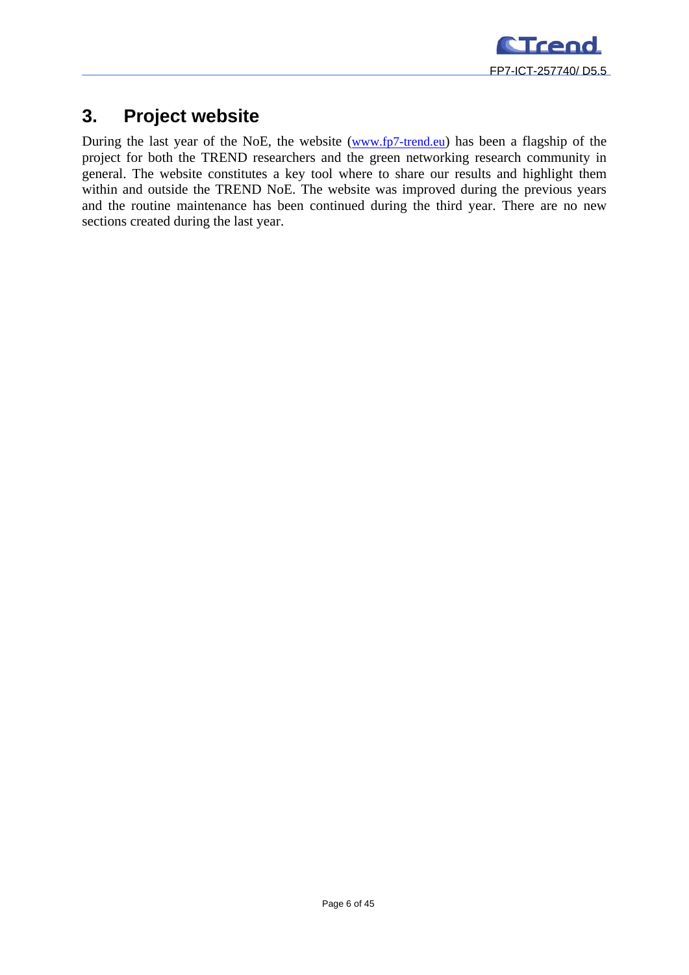

### **3. Project website**

During the last year of the NoE, the website (www.fp7-trend.eu) has been a flagship of the project for both the TREND researchers and the green networking research community in general. The website constitutes a key tool where to share our results and highlight them within and outside the TREND NoE. The website was improved during the previous years and the routine maintenance has been continued during the third year. There are no new sections created during the last year.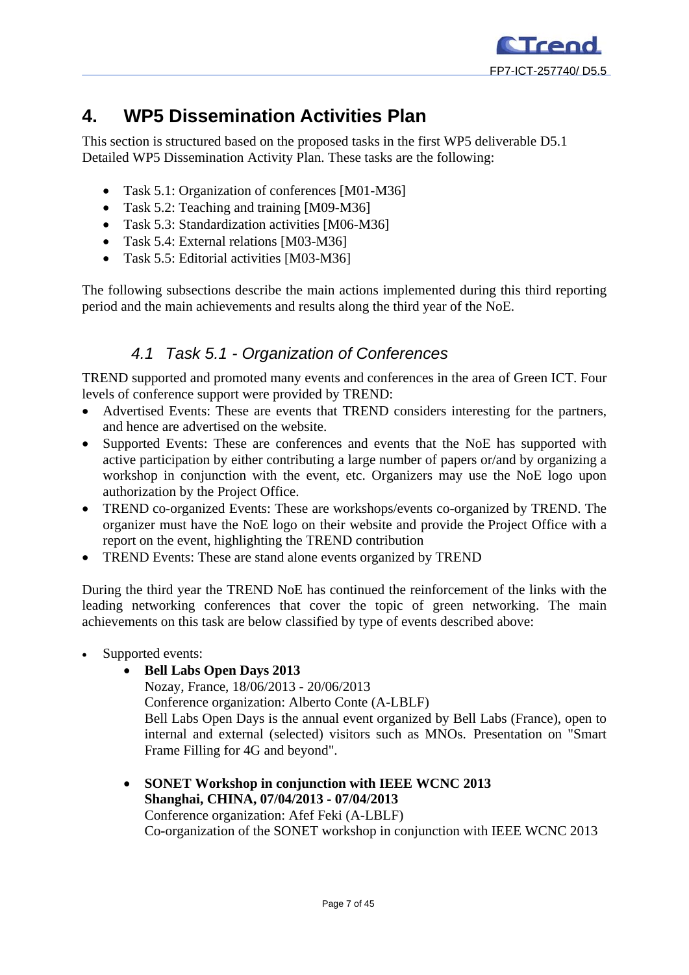

# **4. WP5 Dissemination Activities Plan**

This section is structured based on the proposed tasks in the first WP5 deliverable D5.1 Detailed WP5 Dissemination Activity Plan. These tasks are the following:

- Task 5.1: Organization of conferences [M01-M36]
- Task 5.2: Teaching and training [M09-M36]
- Task 5.3: Standardization activities [M06-M36]
- Task 5.4: External relations [M03-M36]
- Task 5.5: Editorial activities [M03-M36]

The following subsections describe the main actions implemented during this third reporting period and the main achievements and results along the third year of the NoE.

### *4.1 Task 5.1 - Organization of Conferences*

TREND supported and promoted many events and conferences in the area of Green ICT. Four levels of conference support were provided by TREND:

- Advertised Events: These are events that TREND considers interesting for the partners, and hence are advertised on the website.
- Supported Events: These are conferences and events that the NoE has supported with active participation by either contributing a large number of papers or/and by organizing a workshop in conjunction with the event, etc. Organizers may use the NoE logo upon authorization by the Project Office.
- TREND co-organized Events: These are workshops/events co-organized by TREND. The organizer must have the NoE logo on their website and provide the Project Office with a report on the event, highlighting the TREND contribution
- TREND Events: These are stand alone events organized by TREND

During the third year the TREND NoE has continued the reinforcement of the links with the leading networking conferences that cover the topic of green networking. The main achievements on this task are below classified by type of events described above:

- Supported events:
	- **Bell Labs Open Days 2013**

Nozay, France, 18/06/2013 - 20/06/2013

Conference organization: Alberto Conte (A-LBLF)

Bell Labs Open Days is the annual event organized by Bell Labs (France), open to internal and external (selected) visitors such as MNOs. Presentation on "Smart Frame Filling for 4G and beyond".

• **SONET Workshop in conjunction with IEEE WCNC 2013 Shanghai, CHINA, 07/04/2013 - 07/04/2013**  Conference organization: Afef Feki (A-LBLF) Co-organization of the SONET workshop in conjunction with IEEE WCNC 2013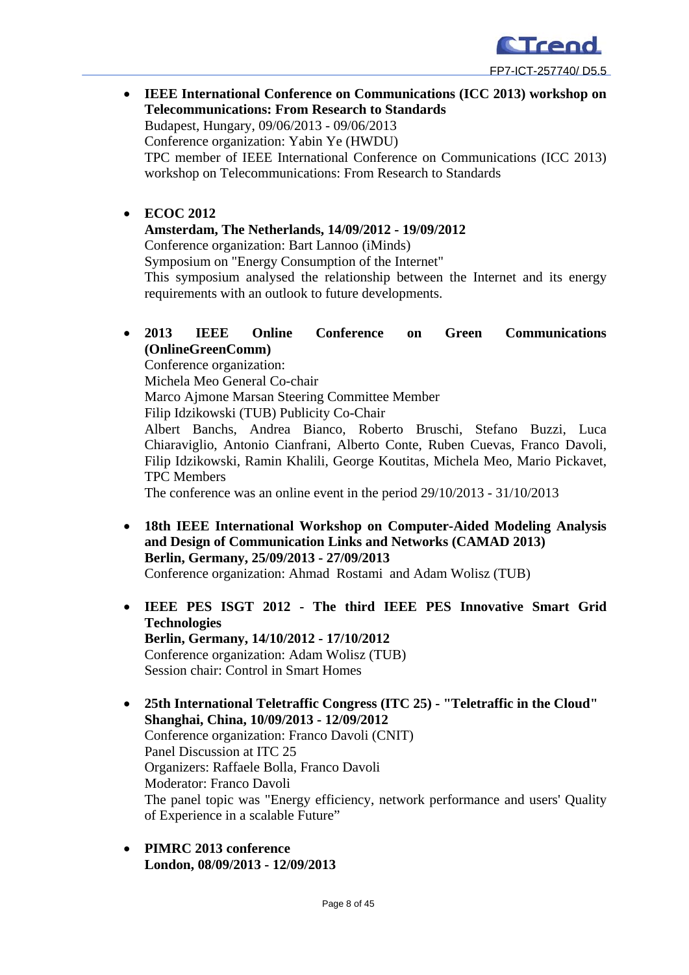

- **IEEE International Conference on Communications (ICC 2013) workshop on Telecommunications: From Research to Standards**  Budapest, Hungary, 09/06/2013 - 09/06/2013 Conference organization: Yabin Ye (HWDU) TPC member of IEEE International Conference on Communications (ICC 2013) workshop on Telecommunications: From Research to Standards
- **ECOC 2012**

#### **Amsterdam, The Netherlands, 14/09/2012 - 19/09/2012**

Conference organization: Bart Lannoo (iMinds)

Symposium on "Energy Consumption of the Internet"

This symposium analysed the relationship between the Internet and its energy requirements with an outlook to future developments.

• **2013 IEEE Online Conference on Green Communications (OnlineGreenComm)** 

Conference organization:

Michela Meo General Co-chair

Marco Ajmone Marsan Steering Committee Member

Filip Idzikowski (TUB) Publicity Co-Chair

Albert Banchs, Andrea Bianco, Roberto Bruschi, Stefano Buzzi, Luca Chiaraviglio, Antonio Cianfrani, Alberto Conte, Ruben Cuevas, Franco Davoli, Filip Idzikowski, Ramin Khalili, George Koutitas, Michela Meo, Mario Pickavet, TPC Members

The conference was an online event in the period 29/10/2013 - 31/10/2013

• **18th IEEE International Workshop on Computer-Aided Modeling Analysis and Design of Communication Links and Networks (CAMAD 2013) Berlin, Germany, 25/09/2013 - 27/09/2013** 

Conference organization: Ahmad Rostami and Adam Wolisz (TUB)

- **IEEE PES ISGT 2012 The third IEEE PES Innovative Smart Grid Technologies Berlin, Germany, 14/10/2012 - 17/10/2012**  Conference organization: Adam Wolisz (TUB) Session chair: Control in Smart Homes
- **25th International Teletraffic Congress (ITC 25) "Teletraffic in the Cloud" Shanghai, China, 10/09/2013 - 12/09/2012**  Conference organization: Franco Davoli (CNIT) Panel Discussion at ITC 25 Organizers: Raffaele Bolla, Franco Davoli Moderator: Franco Davoli The panel topic was "Energy efficiency, network performance and users' Quality of Experience in a scalable Future"
- **PIMRC 2013 conference London, 08/09/2013 - 12/09/2013**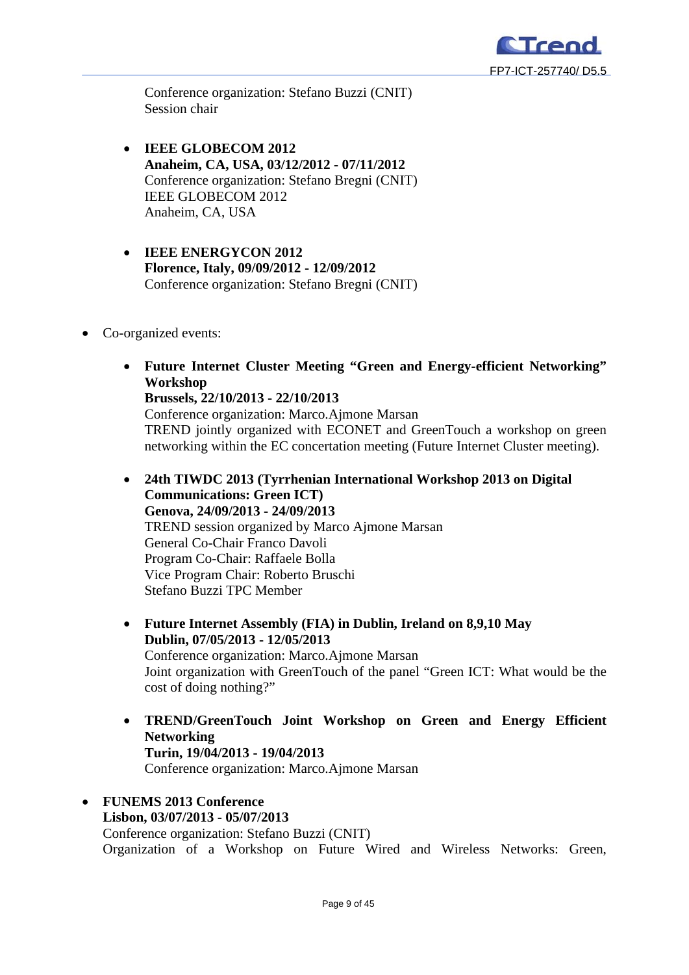

Conference organization: Stefano Buzzi (CNIT) Session chair

- **IEEE GLOBECOM 2012 Anaheim, CA, USA, 03/12/2012 - 07/11/2012**  Conference organization: Stefano Bregni (CNIT) IEEE GLOBECOM 2012 Anaheim, CA, USA
- **IEEE ENERGYCON 2012 Florence, Italy, 09/09/2012 - 12/09/2012**  Conference organization: Stefano Bregni (CNIT)
- Co-organized events:
	- **Future Internet Cluster Meeting "Green and Energy-efficient Networking" Workshop**

**Brussels, 22/10/2013 - 22/10/2013** 

Conference organization: Marco.Ajmone Marsan TREND jointly organized with ECONET and GreenTouch a workshop on green networking within the EC concertation meeting (Future Internet Cluster meeting).

• **24th TIWDC 2013 (Tyrrhenian International Workshop 2013 on Digital Communications: Green ICT) Genova, 24/09/2013 - 24/09/2013**  TREND session organized by Marco Ajmone Marsan General Co-Chair Franco Davoli Program Co-Chair: Raffaele Bolla Vice Program Chair: Roberto Bruschi Stefano Buzzi TPC Member

- **Future Internet Assembly (FIA) in Dublin, Ireland on 8,9,10 May Dublin, 07/05/2013 - 12/05/2013**  Conference organization: Marco.Ajmone Marsan Joint organization with GreenTouch of the panel "Green ICT: What would be the cost of doing nothing?"
- **TREND/GreenTouch Joint Workshop on Green and Energy Efficient Networking Turin, 19/04/2013 - 19/04/2013**  Conference organization: Marco.Ajmone Marsan

• **FUNEMS 2013 Conference Lisbon, 03/07/2013 - 05/07/2013** Conference organization: Stefano Buzzi (CNIT) Organization of a Workshop on Future Wired and Wireless Networks: Green,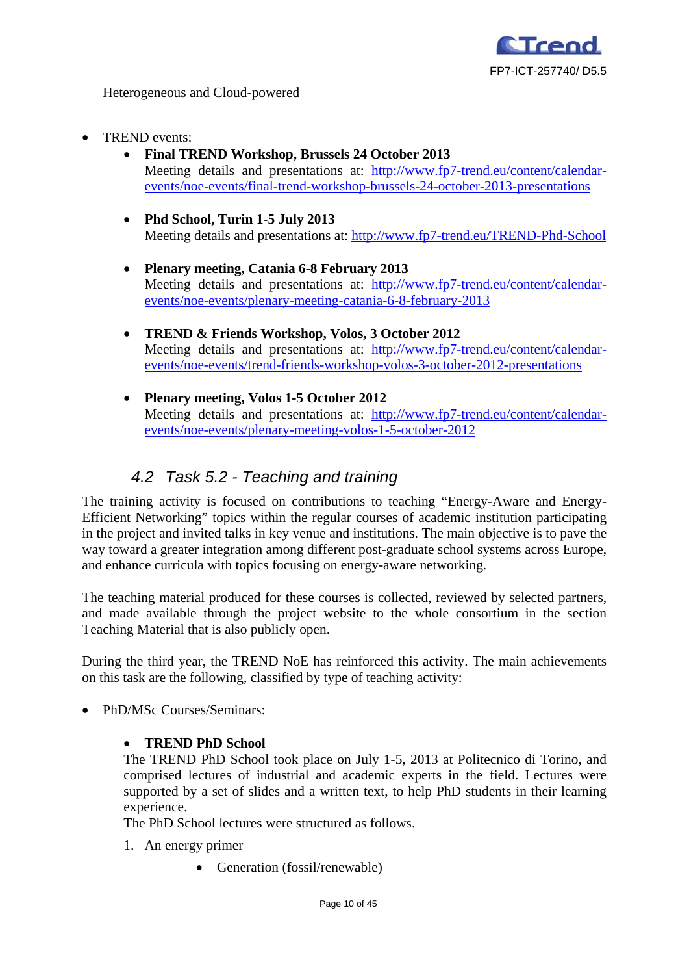

Heterogeneous and Cloud-powered

- TREND events:
	- **Final TREND Workshop, Brussels 24 October 2013**  Meeting details and presentations at: http://www.fp7-trend.eu/content/calendarevents/noe-events/final-trend-workshop-brussels-24-october-2013-presentations
	- **Phd School, Turin 1-5 July 2013**  Meeting details and presentations at: http://www.fp7-trend.eu/TREND-Phd-School
	- **Plenary meeting, Catania 6-8 February 2013**  Meeting details and presentations at: http://www.fp7-trend.eu/content/calendarevents/noe-events/plenary-meeting-catania-6-8-february-2013
	- **TREND & Friends Workshop, Volos, 3 October 2012**  Meeting details and presentations at: http://www.fp7-trend.eu/content/calendarevents/noe-events/trend-friends-workshop-volos-3-october-2012-presentations
	- **Plenary meeting, Volos 1-5 October 2012**  Meeting details and presentations at: http://www.fp7-trend.eu/content/calendarevents/noe-events/plenary-meeting-volos-1-5-october-2012

### *4.2 Task 5.2 - Teaching and training*

The training activity is focused on contributions to teaching "Energy-Aware and Energy-Efficient Networking" topics within the regular courses of academic institution participating in the project and invited talks in key venue and institutions. The main objective is to pave the way toward a greater integration among different post-graduate school systems across Europe, and enhance curricula with topics focusing on energy-aware networking.

The teaching material produced for these courses is collected, reviewed by selected partners, and made available through the project website to the whole consortium in the section Teaching Material that is also publicly open.

During the third year, the TREND NoE has reinforced this activity. The main achievements on this task are the following, classified by type of teaching activity:

• PhD/MSc Courses/Seminars:

#### • **TREND PhD School**

The TREND PhD School took place on July 1-5, 2013 at Politecnico di Torino, and comprised lectures of industrial and academic experts in the field. Lectures were supported by a set of slides and a written text, to help PhD students in their learning experience.

The PhD School lectures were structured as follows.

- 1. An energy primer
	- Generation (fossil/renewable)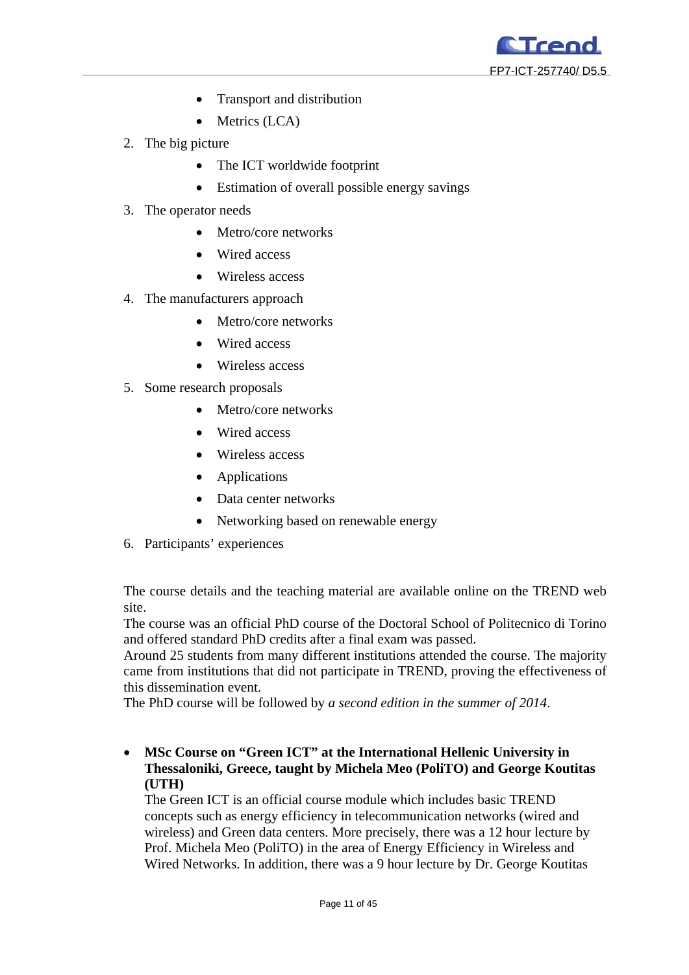

- Transport and distribution
- Metrics (LCA)
- 2. The big picture
	- The ICT worldwide footprint
	- Estimation of overall possible energy savings
- 3. The operator needs
	- Metro/core networks
	- Wired access
	- Wireless access
- 4. The manufacturers approach
	- Metro/core networks
	- Wired access
	- Wireless access
- 5. Some research proposals
	- Metro/core networks
	- Wired access
	- Wireless access
	- Applications
	- Data center networks
	- Networking based on renewable energy
- 6. Participants' experiences

The course details and the teaching material are available online on the TREND web site.

The course was an official PhD course of the Doctoral School of Politecnico di Torino and offered standard PhD credits after a final exam was passed.

Around 25 students from many different institutions attended the course. The majority came from institutions that did not participate in TREND, proving the effectiveness of this dissemination event.

The PhD course will be followed by *a second edition in the summer of 2014*.

• **MSc Course on "Green ICT" at the International Hellenic University in Thessaloniki, Greece, taught by Michela Meo (PoliTO) and George Koutitas (UTH)** 

The Green ICT is an official course module which includes basic TREND concepts such as energy efficiency in telecommunication networks (wired and wireless) and Green data centers. More precisely, there was a 12 hour lecture by Prof. Michela Meo (PoliTO) in the area of Energy Efficiency in Wireless and Wired Networks. In addition, there was a 9 hour lecture by Dr. George Koutitas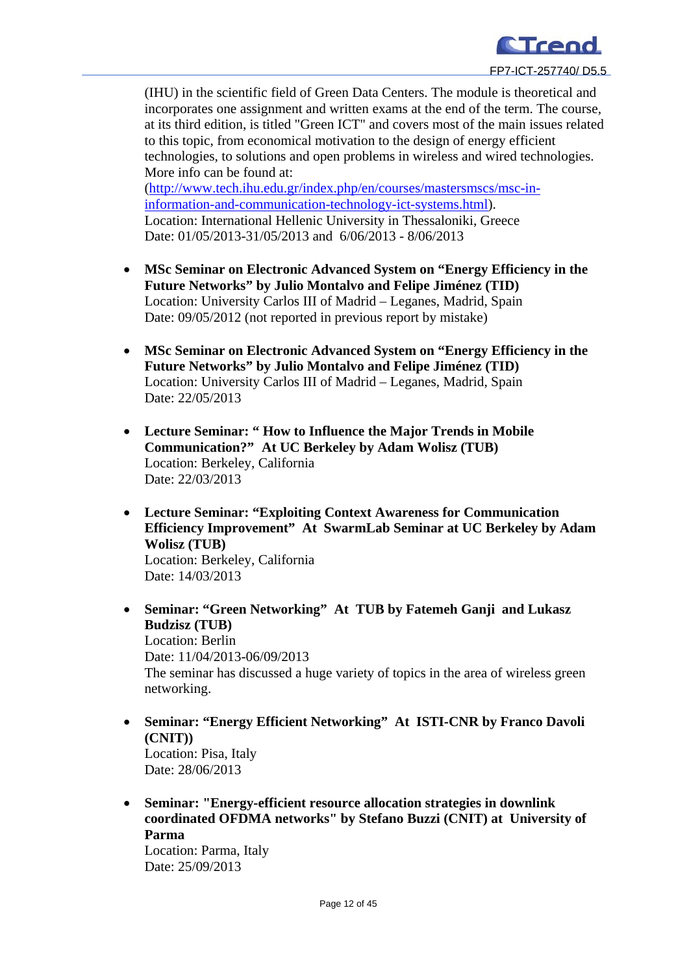

(IHU) in the scientific field of Green Data Centers. The module is theoretical and incorporates one assignment and written exams at the end of the term. The course, at its third edition, is titled "Green ICT" and covers most of the main issues related to this topic, from economical motivation to the design of energy efficient technologies, to solutions and open problems in wireless and wired technologies. More info can be found at: (http://www.tech.ihu.edu.gr/index.php/en/courses/mastersmscs/msc-ininformation-and-communication-technology-ict-systems.html). Location: International Hellenic University in Thessaloniki, Greece Date: 01/05/2013-31/05/2013 and 6/06/2013 - 8/06/2013

- **MSc Seminar on Electronic Advanced System on "Energy Efficiency in the Future Networks" by Julio Montalvo and Felipe Jiménez (TID)** Location: University Carlos III of Madrid – Leganes, Madrid, Spain Date:  $09/05/2012$  (not reported in previous report by mistake)
- **MSc Seminar on Electronic Advanced System on "Energy Efficiency in the Future Networks" by Julio Montalvo and Felipe Jiménez (TID)** Location: University Carlos III of Madrid – Leganes, Madrid, Spain Date: 22/05/2013
- **Lecture Seminar: " How to Influence the Major Trends in Mobile Communication?" At UC Berkeley by Adam Wolisz (TUB)**  Location: Berkeley, California Date: 22/03/2013
- **Lecture Seminar: "Exploiting Context Awareness for Communication Efficiency Improvement" At SwarmLab Seminar at UC Berkeley by Adam Wolisz (TUB)**  Location: Berkeley, California

Date: 14/03/2013

- **Seminar: "Green Networking" At TUB by Fatemeh Ganji and Lukasz Budzisz (TUB)**  Location: Berlin Date: 11/04/2013-06/09/2013 The seminar has discussed a huge variety of topics in the area of wireless green networking.
- **Seminar: "Energy Efficient Networking" At ISTI-CNR by Franco Davoli (CNIT))**  Location: Pisa, Italy Date: 28/06/2013
- **Seminar: "Energy-efficient resource allocation strategies in downlink coordinated OFDMA networks" by Stefano Buzzi (CNIT) at University of Parma**  Location: Parma, Italy Date: 25/09/2013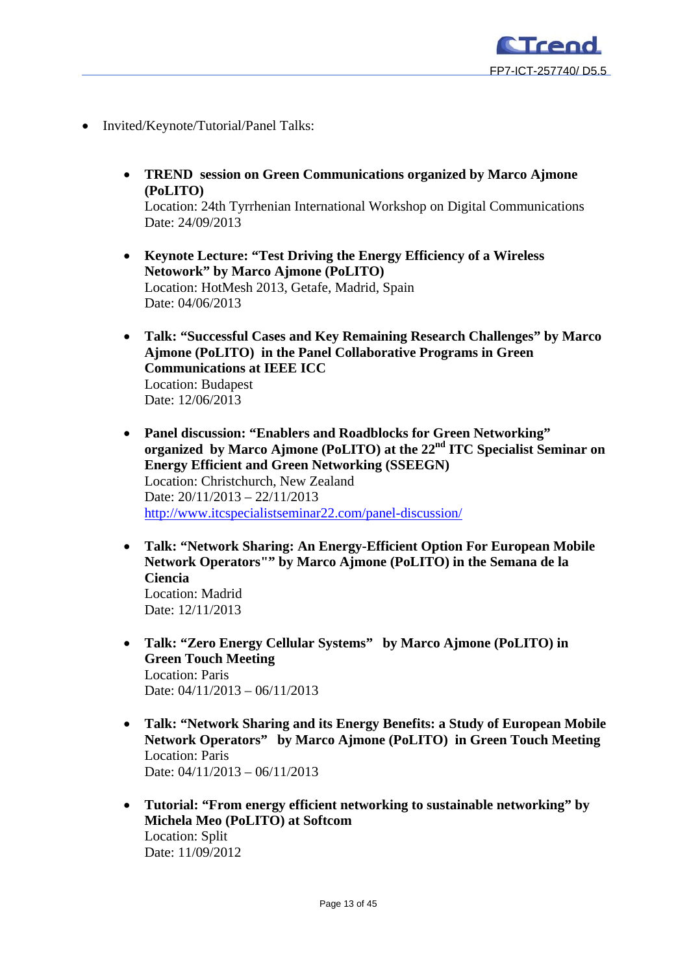

- Invited/Keynote/Tutorial/Panel Talks:
	- **TREND session on Green Communications organized by Marco Ajmone (PoLITO)** Location: 24th Tyrrhenian International Workshop on Digital Communications

Date: 24/09/2013

- **Keynote Lecture: "Test Driving the Energy Efficiency of a Wireless Netowork" by Marco Ajmone (PoLITO)** Location: HotMesh 2013, Getafe, Madrid, Spain Date: 04/06/2013
- **Talk: "Successful Cases and Key Remaining Research Challenges" by Marco Ajmone (PoLITO) in the Panel Collaborative Programs in Green Communications at IEEE ICC**  Location: Budapest Date: 12/06/2013
- **Panel discussion: "Enablers and Roadblocks for Green Networking" organized by Marco Ajmone (PoLITO) at the 22nd ITC Specialist Seminar on Energy Efficient and Green Networking (SSEEGN)**  Location: Christchurch, New Zealand Date: 20/11/2013 – 22/11/2013 http://www.itcspecialistseminar22.com/panel-discussion/
- **Talk: "Network Sharing: An Energy-Efficient Option For European Mobile Network Operators"" by Marco Ajmone (PoLITO) in the Semana de la Ciencia** Location: Madrid Date: 12/11/2013
- **Talk: "Zero Energy Cellular Systems" by Marco Ajmone (PoLITO) in Green Touch Meeting** Location: Paris Date: 04/11/2013 - 06/11/2013
- **Talk: "Network Sharing and its Energy Benefits: a Study of European Mobile Network Operators" by Marco Ajmone (PoLITO) in Green Touch Meeting** Location: Paris Date: 04/11/2013 – 06/11/2013
- **Tutorial: "From energy efficient networking to sustainable networking" by Michela Meo (PoLITO) at Softcom** Location: Split Date: 11/09/2012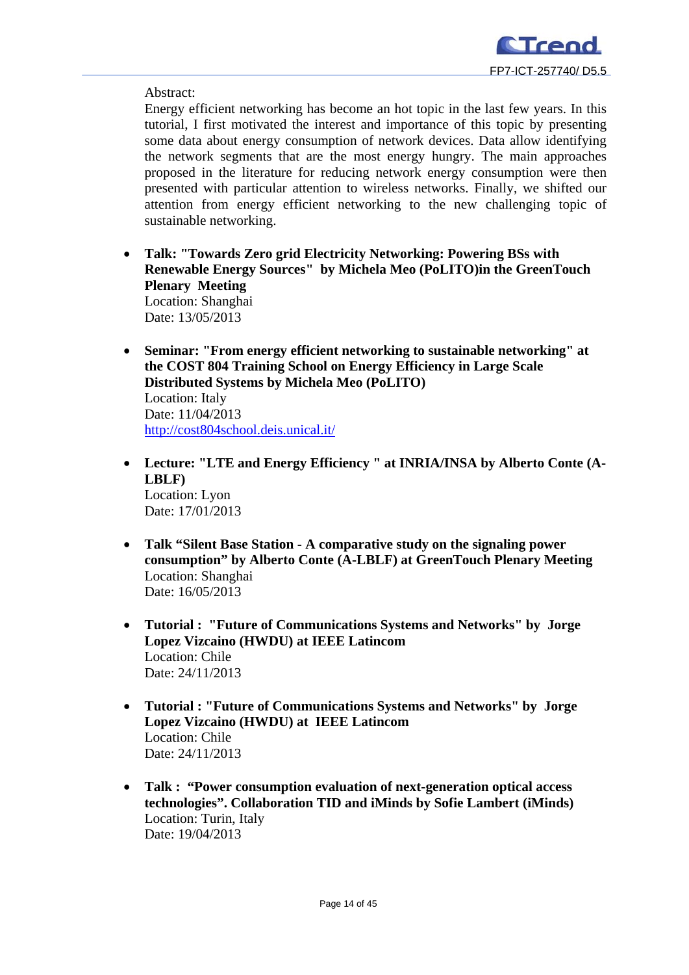

#### Abstract:

Energy efficient networking has become an hot topic in the last few years. In this tutorial, I first motivated the interest and importance of this topic by presenting some data about energy consumption of network devices. Data allow identifying the network segments that are the most energy hungry. The main approaches proposed in the literature for reducing network energy consumption were then presented with particular attention to wireless networks. Finally, we shifted our attention from energy efficient networking to the new challenging topic of sustainable networking.

- **Talk: "Towards Zero grid Electricity Networking: Powering BSs with Renewable Energy Sources" by Michela Meo (PoLITO)in the GreenTouch Plenary Meeting**  Location: Shanghai Date: 13/05/2013
- **Seminar: "From energy efficient networking to sustainable networking" at the COST 804 Training School on Energy Efficiency in Large Scale Distributed Systems by Michela Meo (PoLITO)**

Location: Italy Date: 11/04/2013 http://cost804school.deis.unical.it/

- **Lecture: "LTE and Energy Efficiency " at INRIA/INSA by Alberto Conte (A-LBLF)**  Location: Lyon Date: 17/01/2013
- **Talk "Silent Base Station A comparative study on the signaling power consumption" by Alberto Conte (A-LBLF) at GreenTouch Plenary Meeting**  Location: Shanghai Date: 16/05/2013
- **Tutorial : "Future of Communications Systems and Networks" by Jorge Lopez Vizcaino (HWDU) at IEEE Latincom**  Location: Chile Date: 24/11/2013
- **Tutorial : "Future of Communications Systems and Networks" by Jorge Lopez Vizcaino (HWDU) at IEEE Latincom**  Location: Chile Date: 24/11/2013
- **Talk : "Power consumption evaluation of next-generation optical access technologies". Collaboration TID and iMinds by Sofie Lambert (iMinds)**  Location: Turin, Italy Date: 19/04/2013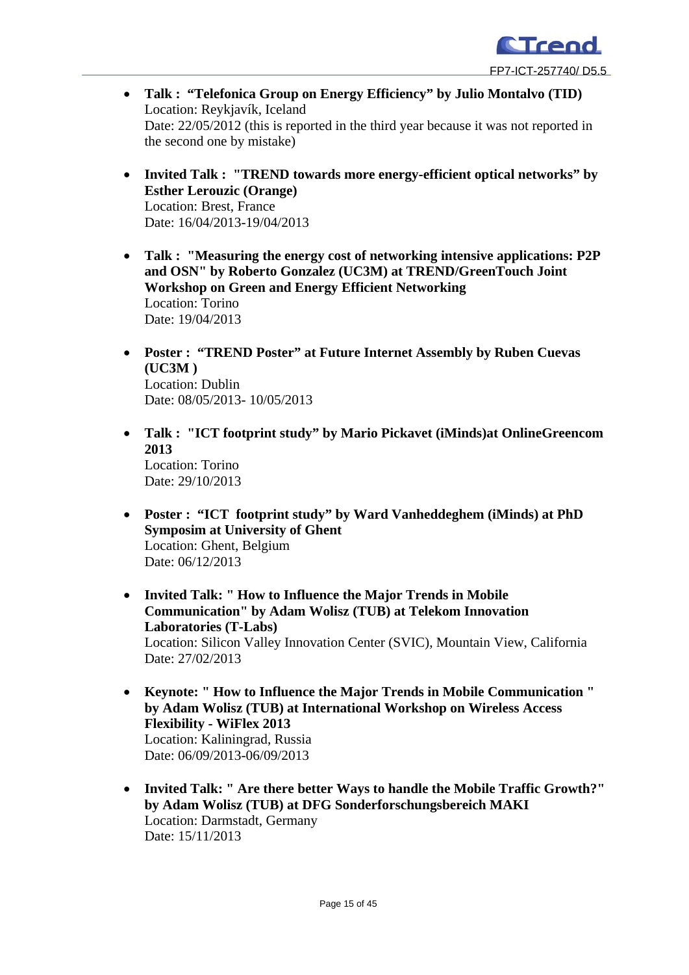

- **Talk : "Telefonica Group on Energy Efficiency" by Julio Montalvo (TID)**  Location: Reykjavík, Iceland Date:  $22/05/2012$  (this is reported in the third year because it was not reported in the second one by mistake)
- **Invited Talk : "TREND towards more energy-efficient optical networks" by Esther Lerouzic (Orange)**  Location: Brest, France Date: 16/04/2013-19/04/2013
- **Talk : "Measuring the energy cost of networking intensive applications: P2P and OSN" by Roberto Gonzalez (UC3M) at TREND/GreenTouch Joint Workshop on Green and Energy Efficient Networking**  Location: Torino Date: 19/04/2013
- **Poster : "TREND Poster" at Future Internet Assembly by Ruben Cuevas (UC3M )**  Location: Dublin Date: 08/05/2013- 10/05/2013
- **Talk : "ICT footprint study" by Mario Pickavet (iMinds)at OnlineGreencom 2013**  Location: Torino Date: 29/10/2013
- **Poster : "ICT footprint study" by Ward Vanheddeghem (iMinds) at PhD Symposim at University of Ghent**  Location: Ghent, Belgium Date: 06/12/2013
- **Invited Talk: " How to Influence the Major Trends in Mobile Communication" by Adam Wolisz (TUB) at Telekom Innovation Laboratories (T-Labs)**  Location: Silicon Valley Innovation Center (SVIC), Mountain View, California Date: 27/02/2013
- **Keynote: " How to Influence the Major Trends in Mobile Communication " by Adam Wolisz (TUB) at International Workshop on Wireless Access Flexibility - WiFlex 2013**  Location: Kaliningrad, Russia Date: 06/09/2013-06/09/2013
- **Invited Talk: " Are there better Ways to handle the Mobile Traffic Growth?" by Adam Wolisz (TUB) at DFG Sonderforschungsbereich MAKI**  Location: Darmstadt, Germany Date: 15/11/2013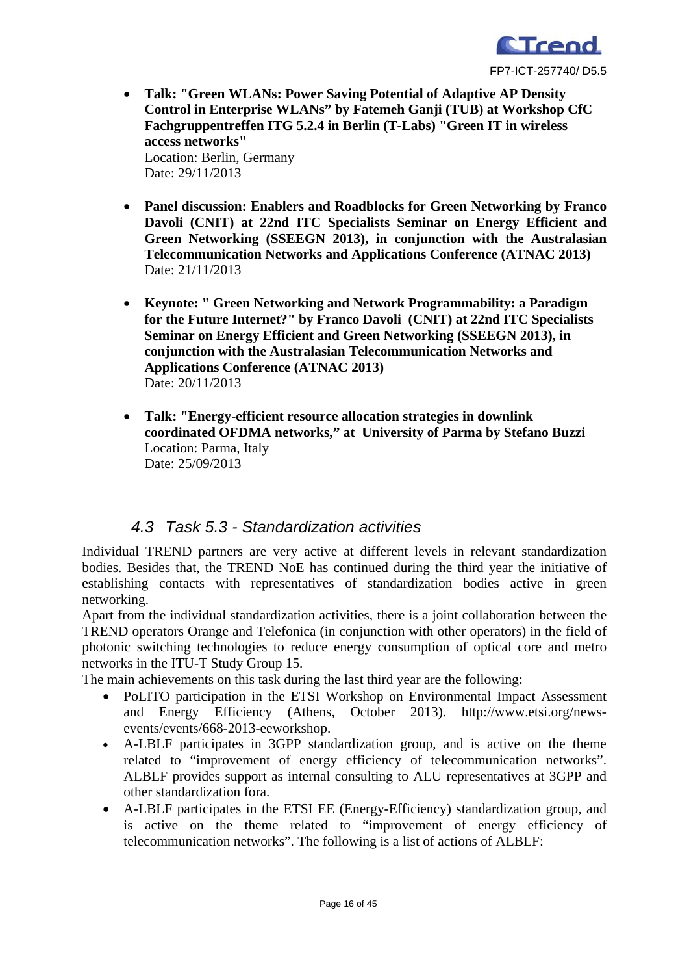

- **Talk: "Green WLANs: Power Saving Potential of Adaptive AP Density Control in Enterprise WLANs" by Fatemeh Ganji (TUB) at Workshop CfC Fachgruppentreffen ITG 5.2.4 in Berlin (T-Labs) "Green IT in wireless access networks"**  Location: Berlin, Germany Date: 29/11/2013
- **Panel discussion: Enablers and Roadblocks for Green Networking by Franco Davoli (CNIT) at 22nd ITC Specialists Seminar on Energy Efficient and Green Networking (SSEEGN 2013), in conjunction with the Australasian Telecommunication Networks and Applications Conference (ATNAC 2013)**  Date: 21/11/2013
- **Keynote: " Green Networking and Network Programmability: a Paradigm for the Future Internet?" by Franco Davoli (CNIT) at 22nd ITC Specialists Seminar on Energy Efficient and Green Networking (SSEEGN 2013), in conjunction with the Australasian Telecommunication Networks and Applications Conference (ATNAC 2013)** Date: 20/11/2013
- **Talk: "Energy-efficient resource allocation strategies in downlink coordinated OFDMA networks," at University of Parma by Stefano Buzzi**  Location: Parma, Italy Date: 25/09/2013

### *4.3 Task 5.3 - Standardization activities*

Individual TREND partners are very active at different levels in relevant standardization bodies. Besides that, the TREND NoE has continued during the third year the initiative of establishing contacts with representatives of standardization bodies active in green networking.

Apart from the individual standardization activities, there is a joint collaboration between the TREND operators Orange and Telefonica (in conjunction with other operators) in the field of photonic switching technologies to reduce energy consumption of optical core and metro networks in the ITU-T Study Group 15.

The main achievements on this task during the last third year are the following:

- PoLITO participation in the ETSI Workshop on Environmental Impact Assessment and Energy Efficiency (Athens, October 2013). http://www.etsi.org/newsevents/events/668-2013-eeworkshop.
- A-LBLF participates in 3GPP standardization group, and is active on the theme related to "improvement of energy efficiency of telecommunication networks". ALBLF provides support as internal consulting to ALU representatives at 3GPP and other standardization fora.
- A-LBLF participates in the ETSI EE (Energy-Efficiency) standardization group, and is active on the theme related to "improvement of energy efficiency of telecommunication networks". The following is a list of actions of ALBLF: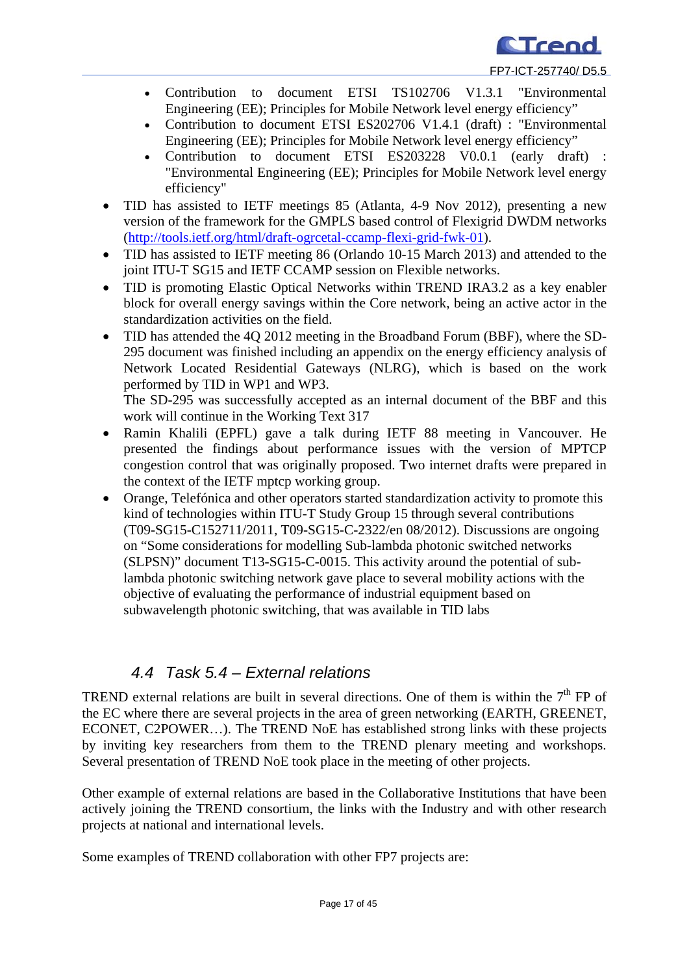- Contribution to document ETSI TS102706 V1.3.1 "Environmental Engineering (EE); Principles for Mobile Network level energy efficiency"
- Contribution to document ETSI ES202706 V1.4.1 (draft) : "Environmental Engineering (EE); Principles for Mobile Network level energy efficiency"
- Contribution to document ETSI ES203228 V0.0.1 (early draft) "Environmental Engineering (EE); Principles for Mobile Network level energy efficiency"
- TID has assisted to IETF meetings 85 (Atlanta, 4-9 Nov 2012), presenting a new version of the framework for the GMPLS based control of Flexigrid DWDM networks (http://tools.ietf.org/html/draft-ogrcetal-ccamp-flexi-grid-fwk-01).
- TID has assisted to IETF meeting 86 (Orlando 10-15 March 2013) and attended to the joint ITU-T SG15 and IETF CCAMP session on Flexible networks.
- TID is promoting Elastic Optical Networks within TREND IRA3.2 as a key enabler block for overall energy savings within the Core network, being an active actor in the standardization activities on the field.
- TID has attended the 4Q 2012 meeting in the Broadband Forum (BBF), where the SD-295 document was finished including an appendix on the energy efficiency analysis of Network Located Residential Gateways (NLRG), which is based on the work performed by TID in WP1 and WP3.

The SD-295 was successfully accepted as an internal document of the BBF and this work will continue in the Working Text 317

- Ramin Khalili (EPFL) gave a talk during IETF 88 meeting in Vancouver. He presented the findings about performance issues with the version of MPTCP congestion control that was originally proposed. Two internet drafts were prepared in the context of the IETF mptcp working group.
- Orange, Telefónica and other operators started standardization activity to promote this kind of technologies within ITU-T Study Group 15 through several contributions (T09-SG15-C152711/2011, T09-SG15-C-2322/en 08/2012). Discussions are ongoing on "Some considerations for modelling Sub-lambda photonic switched networks (SLPSN)" document T13-SG15-C-0015. This activity around the potential of sublambda photonic switching network gave place to several mobility actions with the objective of evaluating the performance of industrial equipment based on subwavelength photonic switching, that was available in TID labs

### *4.4 Task 5.4 – External relations*

TREND external relations are built in several directions. One of them is within the  $7<sup>th</sup>$  FP of the EC where there are several projects in the area of green networking (EARTH, GREENET, ECONET, C2POWER…). The TREND NoE has established strong links with these projects by inviting key researchers from them to the TREND plenary meeting and workshops. Several presentation of TREND NoE took place in the meeting of other projects.

Other example of external relations are based in the Collaborative Institutions that have been actively joining the TREND consortium, the links with the Industry and with other research projects at national and international levels.

Some examples of TREND collaboration with other FP7 projects are: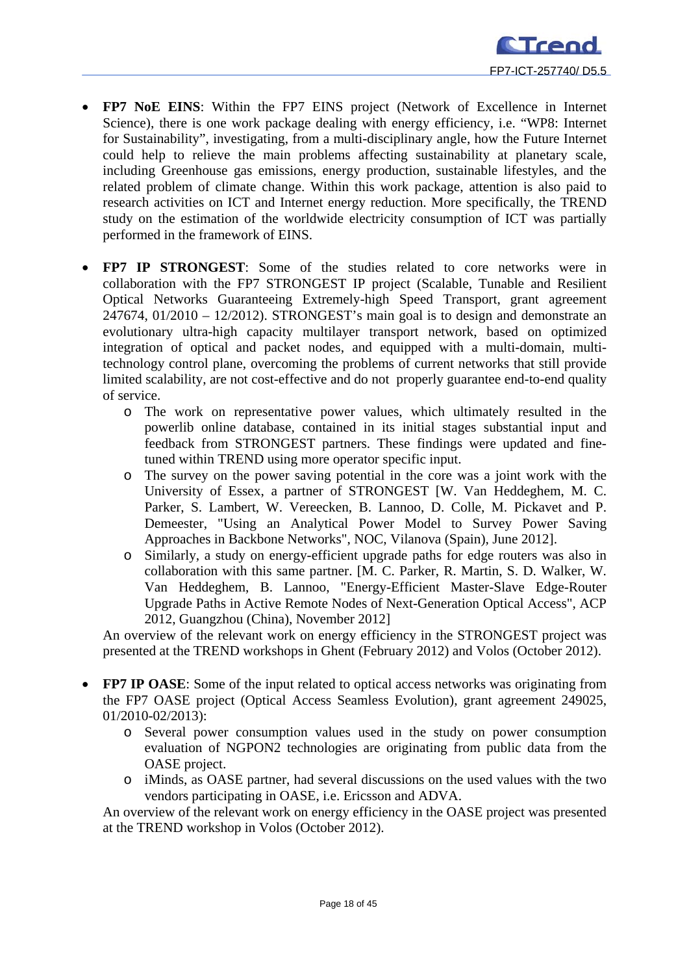

- **FP7 NoE EINS**: Within the FP7 EINS project (Network of Excellence in Internet Science), there is one work package dealing with energy efficiency, i.e. "WP8: Internet for Sustainability", investigating, from a multi-disciplinary angle, how the Future Internet could help to relieve the main problems affecting sustainability at planetary scale, including Greenhouse gas emissions, energy production, sustainable lifestyles, and the related problem of climate change. Within this work package, attention is also paid to research activities on ICT and Internet energy reduction. More specifically, the TREND study on the estimation of the worldwide electricity consumption of ICT was partially performed in the framework of EINS.
- **FP7 IP STRONGEST**: Some of the studies related to core networks were in collaboration with the FP7 STRONGEST IP project (Scalable, Tunable and Resilient Optical Networks Guaranteeing Extremely-high Speed Transport, grant agreement  $247674$ ,  $01/2010 - 12/2012$ ). STRONGEST's main goal is to design and demonstrate an evolutionary ultra-high capacity multilayer transport network, based on optimized integration of optical and packet nodes, and equipped with a multi-domain, multitechnology control plane, overcoming the problems of current networks that still provide limited scalability, are not cost-effective and do not properly guarantee end-to-end quality of service.
	- o The work on representative power values, which ultimately resulted in the powerlib online database, contained in its initial stages substantial input and feedback from STRONGEST partners. These findings were updated and finetuned within TREND using more operator specific input.
	- o The survey on the power saving potential in the core was a joint work with the University of Essex, a partner of STRONGEST [W. Van Heddeghem, M. C. Parker, S. Lambert, W. Vereecken, B. Lannoo, D. Colle, M. Pickavet and P. Demeester, "Using an Analytical Power Model to Survey Power Saving Approaches in Backbone Networks", NOC, Vilanova (Spain), June 2012].
	- o Similarly, a study on energy-efficient upgrade paths for edge routers was also in collaboration with this same partner. [M. C. Parker, R. Martin, S. D. Walker, W. Van Heddeghem, B. Lannoo, "Energy-Efficient Master-Slave Edge-Router Upgrade Paths in Active Remote Nodes of Next-Generation Optical Access", ACP 2012, Guangzhou (China), November 2012]

An overview of the relevant work on energy efficiency in the STRONGEST project was presented at the TREND workshops in Ghent (February 2012) and Volos (October 2012).

- **FP7 IP OASE:** Some of the input related to optical access networks was originating from the FP7 OASE project (Optical Access Seamless Evolution), grant agreement 249025, 01/2010-02/2013):
	- o Several power consumption values used in the study on power consumption evaluation of NGPON2 technologies are originating from public data from the OASE project.
	- o iMinds, as OASE partner, had several discussions on the used values with the two vendors participating in OASE, i.e. Ericsson and ADVA.

An overview of the relevant work on energy efficiency in the OASE project was presented at the TREND workshop in Volos (October 2012).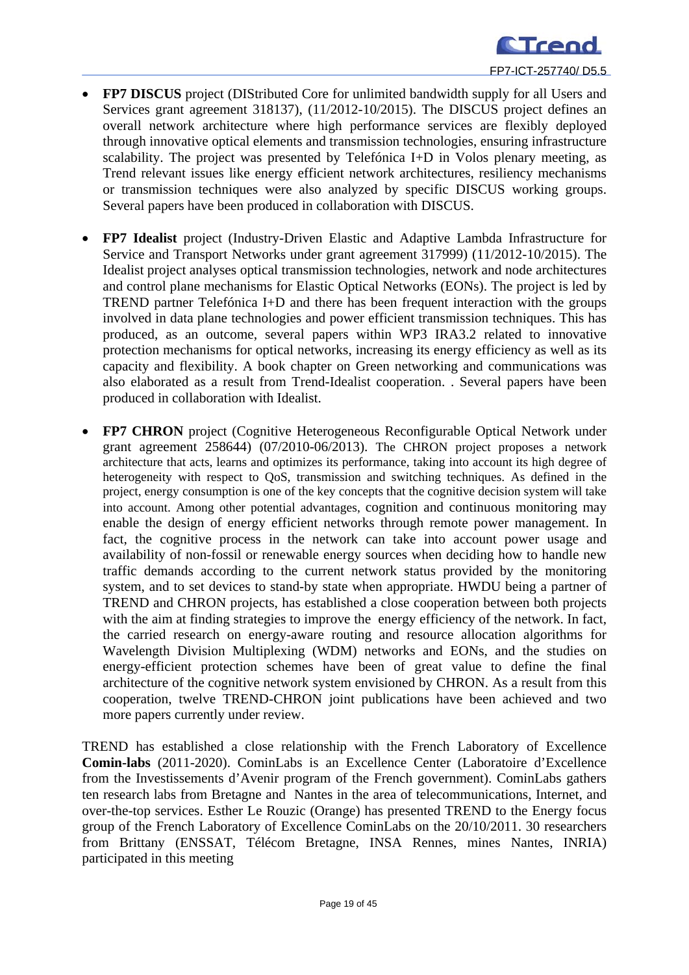

- **FP7 DISCUS** project (DIStributed Core for unlimited bandwidth supply for all Users and Services grant agreement 318137), (11/2012-10/2015). The DISCUS project defines an overall network architecture where high performance services are flexibly deployed through innovative optical elements and transmission technologies, ensuring infrastructure scalability. The project was presented by Telefónica I+D in Volos plenary meeting, as Trend relevant issues like energy efficient network architectures, resiliency mechanisms or transmission techniques were also analyzed by specific DISCUS working groups. Several papers have been produced in collaboration with DISCUS.
- **FP7 Idealist** project (Industry-Driven Elastic and Adaptive Lambda Infrastructure for Service and Transport Networks under grant agreement 317999) (11/2012-10/2015). The Idealist project analyses optical transmission technologies, network and node architectures and control plane mechanisms for Elastic Optical Networks (EONs). The project is led by TREND partner Telefónica I+D and there has been frequent interaction with the groups involved in data plane technologies and power efficient transmission techniques. This has produced, as an outcome, several papers within WP3 IRA3.2 related to innovative protection mechanisms for optical networks, increasing its energy efficiency as well as its capacity and flexibility. A book chapter on Green networking and communications was also elaborated as a result from Trend-Idealist cooperation. . Several papers have been produced in collaboration with Idealist.
- **FP7 CHRON** project (Cognitive Heterogeneous Reconfigurable Optical Network under grant agreement 258644) (07/2010-06/2013). The CHRON project proposes a network architecture that acts, learns and optimizes its performance, taking into account its high degree of heterogeneity with respect to QoS, transmission and switching techniques. As defined in the project, energy consumption is one of the key concepts that the cognitive decision system will take into account. Among other potential advantages, cognition and continuous monitoring may enable the design of energy efficient networks through remote power management. In fact, the cognitive process in the network can take into account power usage and availability of non-fossil or renewable energy sources when deciding how to handle new traffic demands according to the current network status provided by the monitoring system, and to set devices to stand-by state when appropriate. HWDU being a partner of TREND and CHRON projects, has established a close cooperation between both projects with the aim at finding strategies to improve the energy efficiency of the network. In fact, the carried research on energy-aware routing and resource allocation algorithms for Wavelength Division Multiplexing (WDM) networks and EONs, and the studies on energy-efficient protection schemes have been of great value to define the final architecture of the cognitive network system envisioned by CHRON. As a result from this cooperation, twelve TREND-CHRON joint publications have been achieved and two more papers currently under review.

TREND has established a close relationship with the French Laboratory of Excellence **Comin-labs** (2011-2020). CominLabs is an Excellence Center (Laboratoire d'Excellence from the Investissements d'Avenir program of the French government). CominLabs gathers ten research labs from Bretagne and Nantes in the area of telecommunications, Internet, and over-the-top services. Esther Le Rouzic (Orange) has presented TREND to the Energy focus group of the French Laboratory of Excellence CominLabs on the 20/10/2011. 30 researchers from Brittany (ENSSAT, Télécom Bretagne, INSA Rennes, mines Nantes, INRIA) participated in this meeting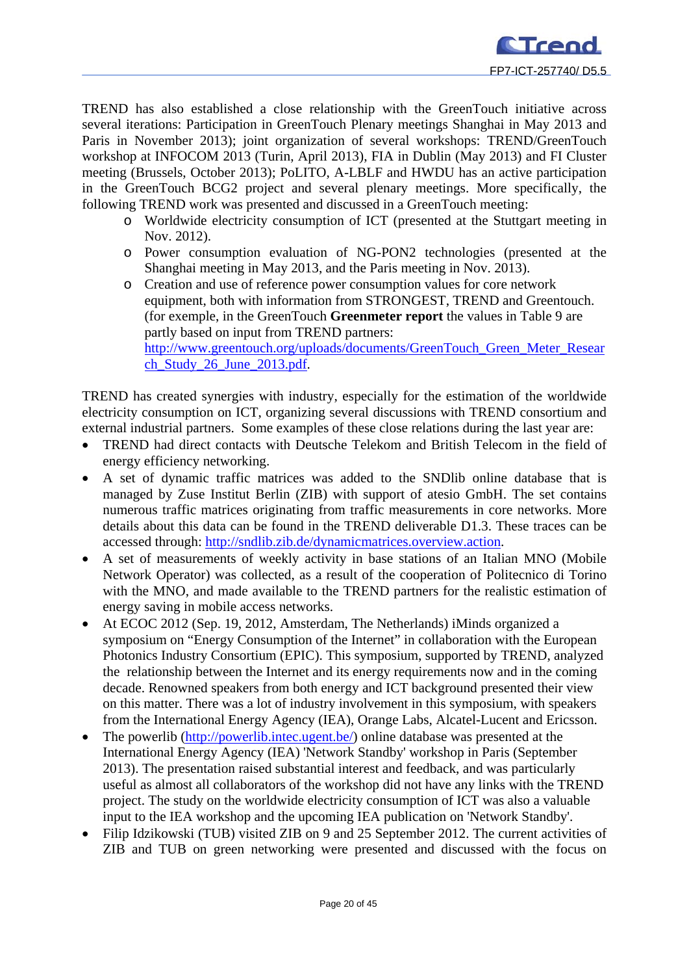

TREND has also established a close relationship with the GreenTouch initiative across several iterations: Participation in GreenTouch Plenary meetings Shanghai in May 2013 and Paris in November 2013); joint organization of several workshops: TREND/GreenTouch workshop at INFOCOM 2013 (Turin, April 2013), FIA in Dublin (May 2013) and FI Cluster meeting (Brussels, October 2013); PoLITO, A-LBLF and HWDU has an active participation in the GreenTouch BCG2 project and several plenary meetings. More specifically, the following TREND work was presented and discussed in a GreenTouch meeting:

- o Worldwide electricity consumption of ICT (presented at the Stuttgart meeting in Nov. 2012).
- o Power consumption evaluation of NG-PON2 technologies (presented at the Shanghai meeting in May 2013, and the Paris meeting in Nov. 2013).
- o Creation and use of reference power consumption values for core network equipment, both with information from STRONGEST, TREND and Greentouch. (for exemple, in the GreenTouch **Greenmeter report** the values in Table 9 are partly based on input from TREND partners: http://www.greentouch.org/uploads/documents/GreenTouch\_Green\_Meter\_Resear ch\_Study\_26\_June\_2013.pdf.

TREND has created synergies with industry, especially for the estimation of the worldwide electricity consumption on ICT, organizing several discussions with TREND consortium and external industrial partners. Some examples of these close relations during the last year are:

- TREND had direct contacts with Deutsche Telekom and British Telecom in the field of energy efficiency networking.
- A set of dynamic traffic matrices was added to the SNDlib online database that is managed by Zuse Institut Berlin (ZIB) with support of atesio GmbH. The set contains numerous traffic matrices originating from traffic measurements in core networks. More details about this data can be found in the TREND deliverable D1.3. These traces can be accessed through: http://sndlib.zib.de/dynamicmatrices.overview.action.
- A set of measurements of weekly activity in base stations of an Italian MNO (Mobile Network Operator) was collected, as a result of the cooperation of Politecnico di Torino with the MNO, and made available to the TREND partners for the realistic estimation of energy saving in mobile access networks.
- At ECOC 2012 (Sep. 19, 2012, Amsterdam, The Netherlands) iMinds organized a symposium on "Energy Consumption of the Internet" in collaboration with the European Photonics Industry Consortium (EPIC). This symposium, supported by TREND, analyzed the relationship between the Internet and its energy requirements now and in the coming decade. Renowned speakers from both energy and ICT background presented their view on this matter. There was a lot of industry involvement in this symposium, with speakers from the International Energy Agency (IEA), Orange Labs, Alcatel-Lucent and Ericsson.
- The powerlib (http://powerlib.intec.ugent.be/) online database was presented at the International Energy Agency (IEA) 'Network Standby' workshop in Paris (September 2013). The presentation raised substantial interest and feedback, and was particularly useful as almost all collaborators of the workshop did not have any links with the TREND project. The study on the worldwide electricity consumption of ICT was also a valuable input to the IEA workshop and the upcoming IEA publication on 'Network Standby'.
- Filip Idzikowski (TUB) visited ZIB on 9 and 25 September 2012. The current activities of ZIB and TUB on green networking were presented and discussed with the focus on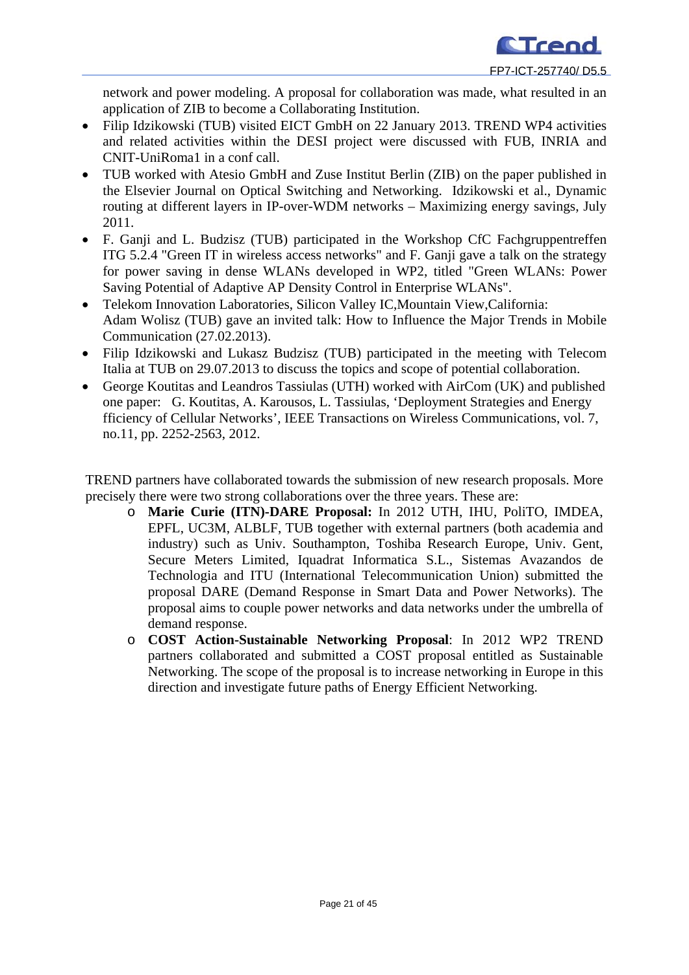

network and power modeling. A proposal for collaboration was made, what resulted in an application of ZIB to become a Collaborating Institution.

- Filip Idzikowski (TUB) visited EICT GmbH on 22 January 2013. TREND WP4 activities and related activities within the DESI project were discussed with FUB, INRIA and CNIT-UniRoma1 in a conf call.
- TUB worked with Atesio GmbH and Zuse Institut Berlin (ZIB) on the paper published in the Elsevier Journal on Optical Switching and Networking. Idzikowski et al., Dynamic routing at different layers in IP-over-WDM networks – Maximizing energy savings, July 2011.
- F. Ganji and L. Budzisz (TUB) participated in the Workshop CfC Fachgruppentreffen ITG 5.2.4 "Green IT in wireless access networks" and F. Ganji gave a talk on the strategy for power saving in dense WLANs developed in WP2, titled "Green WLANs: Power Saving Potential of Adaptive AP Density Control in Enterprise WLANs".
- Telekom Innovation Laboratories, Silicon Valley IC,Mountain View,California: Adam Wolisz (TUB) gave an invited talk: How to Influence the Major Trends in Mobile Communication (27.02.2013).
- Filip Idzikowski and Lukasz Budzisz (TUB) participated in the meeting with Telecom Italia at TUB on 29.07.2013 to discuss the topics and scope of potential collaboration.
- George Koutitas and Leandros Tassiulas (UTH) worked with AirCom (UK) and published one paper: G. Koutitas, A. Karousos, L. Tassiulas, 'Deployment Strategies and Energy fficiency of Cellular Networks', IEEE Transactions on Wireless Communications, vol. 7, no.11, pp. 2252-2563, 2012.

TREND partners have collaborated towards the submission of new research proposals. More precisely there were two strong collaborations over the three years. These are:

- o **Marie Curie (ITN)-DARE Proposal:** In 2012 UTH, IHU, PoliTO, IMDEA, EPFL, UC3M, ALBLF, TUB together with external partners (both academia and industry) such as Univ. Southampton, Toshiba Research Europe, Univ. Gent, Secure Meters Limited, Iquadrat Informatica S.L., Sistemas Avazandos de Technologia and ITU (International Telecommunication Union) submitted the proposal DARE (Demand Response in Smart Data and Power Networks). The proposal aims to couple power networks and data networks under the umbrella of demand response.
- o **COST Action-Sustainable Networking Proposal**: In 2012 WP2 TREND partners collaborated and submitted a COST proposal entitled as Sustainable Networking. The scope of the proposal is to increase networking in Europe in this direction and investigate future paths of Energy Efficient Networking.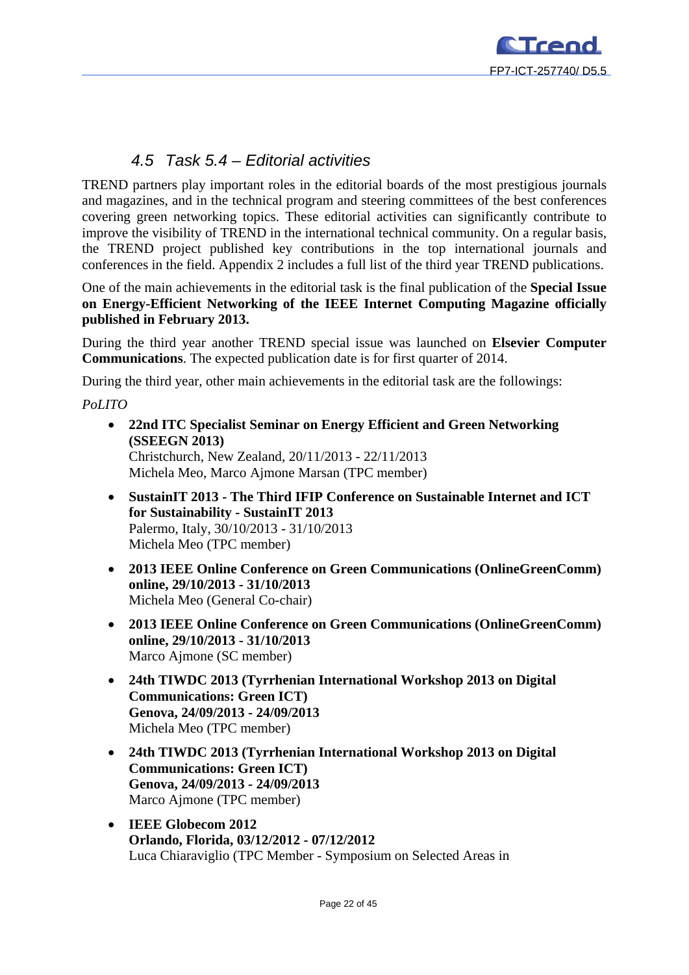

### *4.5 Task 5.4 – Editorial activities*

TREND partners play important roles in the editorial boards of the most prestigious journals and magazines, and in the technical program and steering committees of the best conferences covering green networking topics. These editorial activities can significantly contribute to improve the visibility of TREND in the international technical community. On a regular basis, the TREND project published key contributions in the top international journals and conferences in the field. Appendix 2 includes a full list of the third year TREND publications.

One of the main achievements in the editorial task is the final publication of the **Special Issue on Energy-Efficient Networking of the IEEE Internet Computing Magazine officially published in February 2013.** 

During the third year another TREND special issue was launched on **Elsevier Computer Communications**. The expected publication date is for first quarter of 2014.

During the third year, other main achievements in the editorial task are the followings:

*PoLITO* 

• **22nd ITC Specialist Seminar on Energy Efficient and Green Networking (SSEEGN 2013)**  Christchurch, New Zealand, 20/11/2013 - 22/11/2013

Michela Meo, Marco Ajmone Marsan (TPC member)

- **SustainIT 2013 The Third IFIP Conference on Sustainable Internet and ICT for Sustainability - SustainIT 2013**  Palermo, Italy, 30/10/2013 - 31/10/2013 Michela Meo (TPC member)
- **2013 IEEE Online Conference on Green Communications (OnlineGreenComm) online, 29/10/2013 - 31/10/2013**  Michela Meo (General Co-chair)
- **2013 IEEE Online Conference on Green Communications (OnlineGreenComm) online, 29/10/2013 - 31/10/2013**  Marco Ajmone (SC member)
- **24th TIWDC 2013 (Tyrrhenian International Workshop 2013 on Digital Communications: Green ICT) Genova, 24/09/2013 - 24/09/2013**  Michela Meo (TPC member)
- **24th TIWDC 2013 (Tyrrhenian International Workshop 2013 on Digital Communications: Green ICT) Genova, 24/09/2013 - 24/09/2013**  Marco Ajmone (TPC member)
- **IEEE Globecom 2012 Orlando, Florida, 03/12/2012 - 07/12/2012**  Luca Chiaraviglio (TPC Member - Symposium on Selected Areas in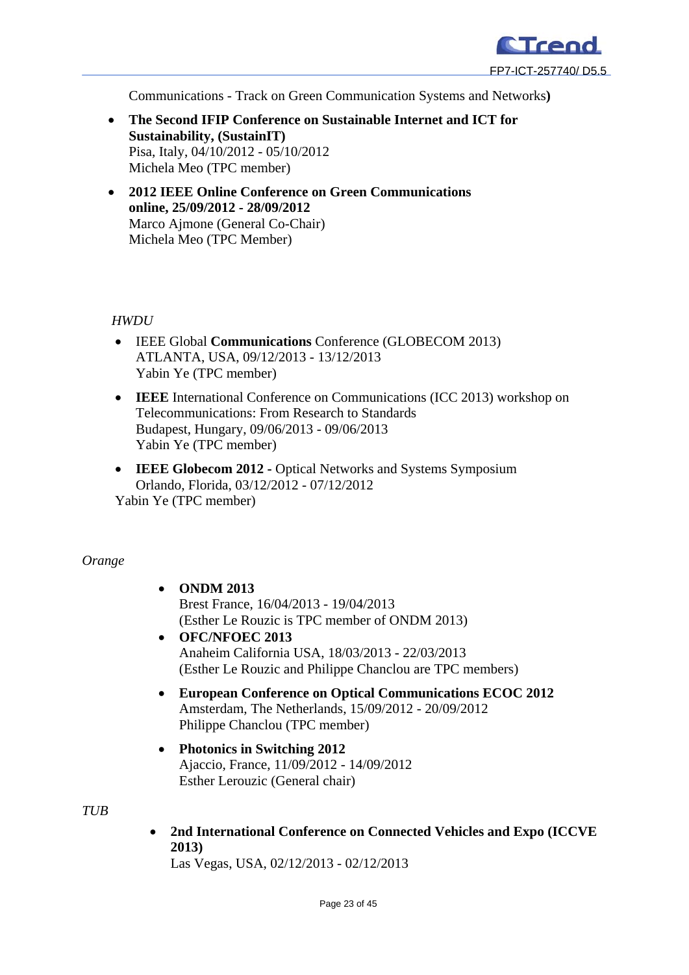

Communications - Track on Green Communication Systems and Networks**)** 

- **The Second IFIP Conference on Sustainable Internet and ICT for Sustainability, (SustainIT)**  Pisa, Italy, 04/10/2012 - 05/10/2012 Michela Meo (TPC member)
- **2012 IEEE Online Conference on Green Communications online, 25/09/2012 - 28/09/2012**  Marco Ajmone (General Co-Chair) Michela Meo (TPC Member)

#### *HWDU*

- IEEE Global **Communications** Conference (GLOBECOM 2013) ATLANTA, USA, 09/12/2013 - 13/12/2013 Yabin Ye (TPC member)
- **IEEE** International Conference on Communications (ICC 2013) workshop on Telecommunications: From Research to Standards Budapest, Hungary, 09/06/2013 - 09/06/2013 Yabin Ye (TPC member)
- **IEEE Globecom 2012 Optical Networks and Systems Symposium**  Orlando, Florida, 03/12/2012 - 07/12/2012 Yabin Ye (TPC member)

#### *Orange*

- **ONDM 2013**  Brest France, 16/04/2013 - 19/04/2013 (Esther Le Rouzic is TPC member of ONDM 2013) • **OFC/NFOEC 2013**
- Anaheim California USA, 18/03/2013 22/03/2013 (Esther Le Rouzic and Philippe Chanclou are TPC members)
- **European Conference on Optical Communications ECOC 2012**  Amsterdam, The Netherlands, 15/09/2012 - 20/09/2012 Philippe Chanclou (TPC member)
- **Photonics in Switching 2012**  Ajaccio, France, 11/09/2012 - 14/09/2012 Esther Lerouzic (General chair)

*TUB* 

• **2nd International Conference on Connected Vehicles and Expo (ICCVE 2013)**

Las Vegas, USA, 02/12/2013 - 02/12/2013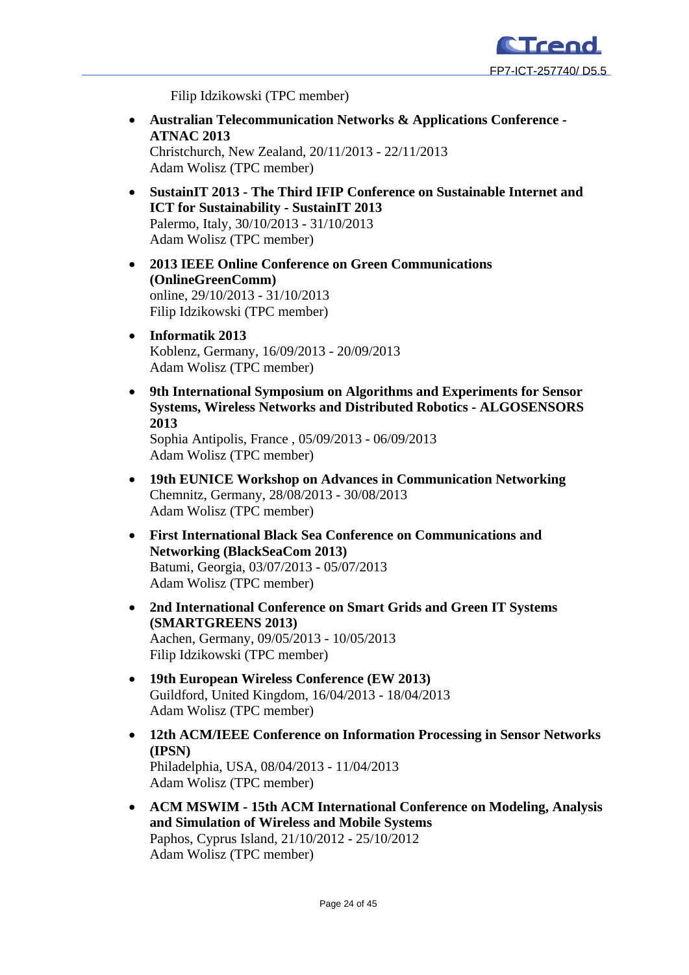

Filip Idzikowski (TPC member)

- **Australian Telecommunication Networks & Applications Conference ATNAC 2013**  Christchurch, New Zealand, 20/11/2013 - 22/11/2013 Adam Wolisz (TPC member)
- **SustainIT 2013 The Third IFIP Conference on Sustainable Internet and ICT for Sustainability - SustainIT 2013**  Palermo, Italy, 30/10/2013 - 31/10/2013 Adam Wolisz (TPC member)
- **2013 IEEE Online Conference on Green Communications (OnlineGreenComm)**  online, 29/10/2013 - 31/10/2013 Filip Idzikowski (TPC member)
- **Informatik 2013** Koblenz, Germany, 16/09/2013 - 20/09/2013 Adam Wolisz (TPC member)
- **9th International Symposium on Algorithms and Experiments for Sensor Systems, Wireless Networks and Distributed Robotics - ALGOSENSORS 2013**

Sophia Antipolis, France , 05/09/2013 - 06/09/2013 Adam Wolisz (TPC member)

- **19th EUNICE Workshop on Advances in Communication Networking**  Chemnitz, Germany, 28/08/2013 - 30/08/2013 Adam Wolisz (TPC member)
- **First International Black Sea Conference on Communications and Networking (BlackSeaCom 2013)**  Batumi, Georgia, 03/07/2013 - 05/07/2013 Adam Wolisz (TPC member)
- **2nd International Conference on Smart Grids and Green IT Systems (SMARTGREENS 2013)**  Aachen, Germany, 09/05/2013 - 10/05/2013 Filip Idzikowski (TPC member)
- **19th European Wireless Conference (EW 2013)** Guildford, United Kingdom, 16/04/2013 - 18/04/2013 Adam Wolisz (TPC member)
- **12th ACM/IEEE Conference on Information Processing in Sensor Networks (IPSN)**  Philadelphia, USA, 08/04/2013 - 11/04/2013 Adam Wolisz (TPC member)
- **ACM MSWIM 15th ACM International Conference on Modeling, Analysis and Simulation of Wireless and Mobile Systems** Paphos, Cyprus Island, 21/10/2012 - 25/10/2012 Adam Wolisz (TPC member)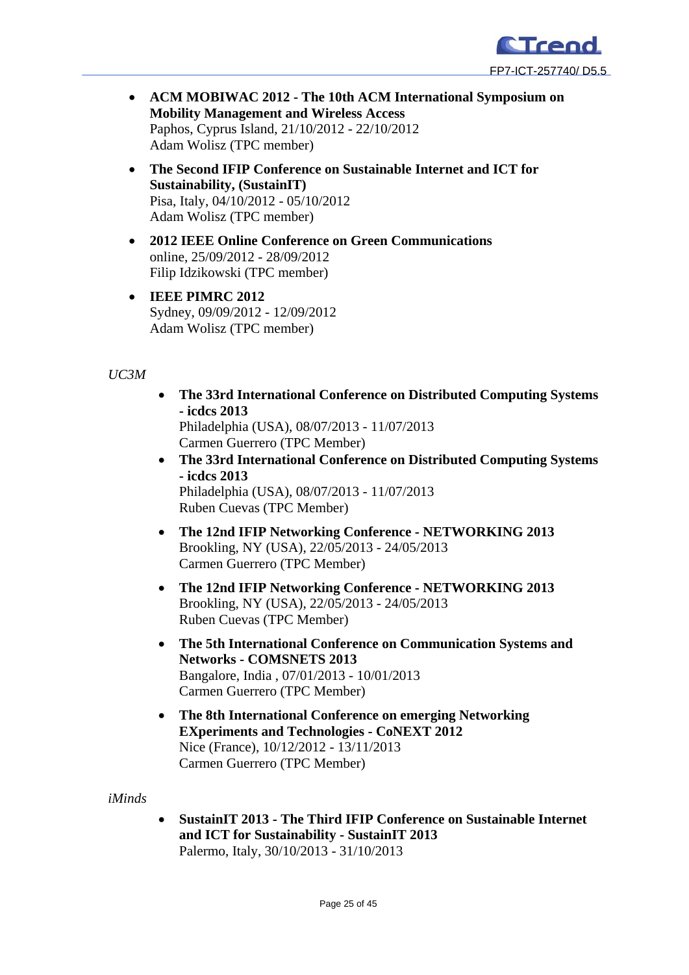

- **ACM MOBIWAC 2012 The 10th ACM International Symposium on Mobility Management and Wireless Access** Paphos, Cyprus Island, 21/10/2012 - 22/10/2012 Adam Wolisz (TPC member)
- **The Second IFIP Conference on Sustainable Internet and ICT for Sustainability, (SustainIT)** Pisa, Italy, 04/10/2012 - 05/10/2012 Adam Wolisz (TPC member)
- **2012 IEEE Online Conference on Green Communications**  online, 25/09/2012 - 28/09/2012 Filip Idzikowski (TPC member)
- **IEEE PIMRC 2012**  Sydney, 09/09/2012 - 12/09/2012 Adam Wolisz (TPC member)

#### *UC3M*

- **The 33rd International Conference on Distributed Computing Systems - icdcs 2013**  Philadelphia (USA), 08/07/2013 - 11/07/2013 Carmen Guerrero (TPC Member)
- **The 33rd International Conference on Distributed Computing Systems - icdcs 2013**  Philadelphia (USA), 08/07/2013 - 11/07/2013 Ruben Cuevas (TPC Member)
- **The 12nd IFIP Networking Conference NETWORKING 2013** Brookling, NY (USA), 22/05/2013 - 24/05/2013 Carmen Guerrero (TPC Member)
- **The 12nd IFIP Networking Conference NETWORKING 2013**  Brookling, NY (USA), 22/05/2013 - 24/05/2013 Ruben Cuevas (TPC Member)
- **The 5th International Conference on Communication Systems and Networks - COMSNETS 2013**  Bangalore, India , 07/01/2013 - 10/01/2013 Carmen Guerrero (TPC Member)
- **The 8th International Conference on emerging Networking EXperiments and Technologies - CoNEXT 2012** Nice (France), 10/12/2012 - 13/11/2013 Carmen Guerrero (TPC Member)

*iMinds* 

• **SustainIT 2013 - The Third IFIP Conference on Sustainable Internet and ICT for Sustainability - SustainIT 2013** Palermo, Italy, 30/10/2013 - 31/10/2013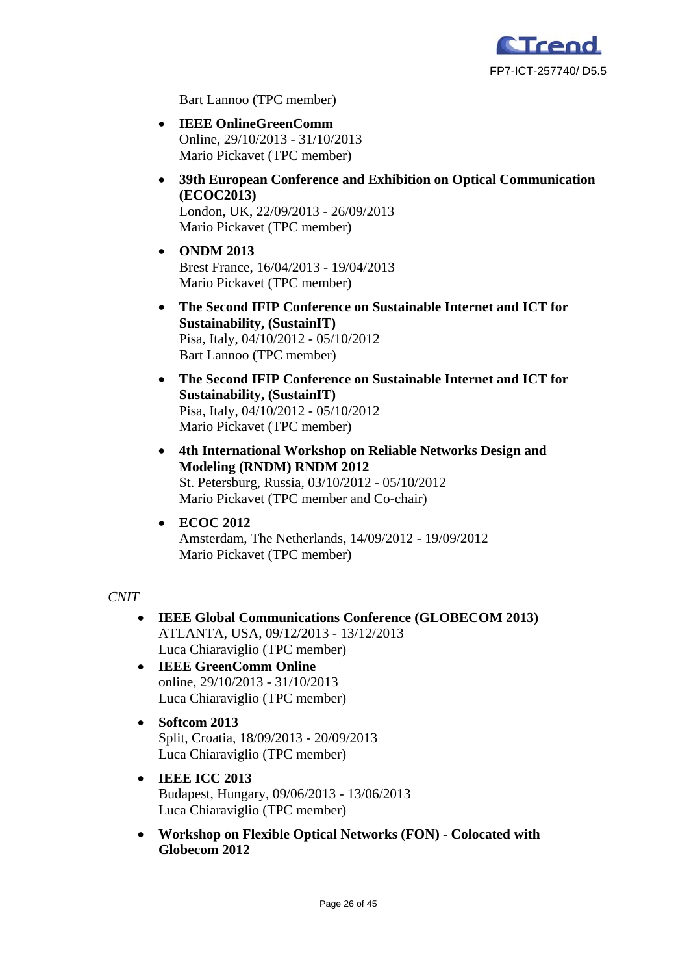

Bart Lannoo (TPC member)

- **IEEE OnlineGreenComm** Online, 29/10/2013 - 31/10/2013 Mario Pickavet (TPC member)
- **39th European Conference and Exhibition on Optical Communication (ECOC2013)** London, UK, 22/09/2013 - 26/09/2013 Mario Pickavet (TPC member)
- **ONDM 2013** Brest France, 16/04/2013 - 19/04/2013 Mario Pickavet (TPC member)
- **The Second IFIP Conference on Sustainable Internet and ICT for Sustainability, (SustainIT)**  Pisa, Italy, 04/10/2012 - 05/10/2012 Bart Lannoo (TPC member)
- **The Second IFIP Conference on Sustainable Internet and ICT for Sustainability, (SustainIT)**  Pisa, Italy, 04/10/2012 - 05/10/2012 Mario Pickavet (TPC member)
- **4th International Workshop on Reliable Networks Design and Modeling (RNDM) RNDM 2012** St. Petersburg, Russia, 03/10/2012 - 05/10/2012 Mario Pickavet (TPC member and Co-chair)
- **ECOC 2012**  Amsterdam, The Netherlands, 14/09/2012 - 19/09/2012 Mario Pickavet (TPC member)

#### *CNIT*

- **IEEE Global Communications Conference (GLOBECOM 2013)**  ATLANTA, USA, 09/12/2013 - 13/12/2013 Luca Chiaraviglio (TPC member)
- **IEEE GreenComm Online**  online, 29/10/2013 - 31/10/2013 Luca Chiaraviglio (TPC member)
- **Softcom 2013**  Split, Croatia, 18/09/2013 - 20/09/2013 Luca Chiaraviglio (TPC member)
- **IEEE ICC 2013** Budapest, Hungary, 09/06/2013 - 13/06/2013 Luca Chiaraviglio (TPC member)
- **Workshop on Flexible Optical Networks (FON) Colocated with Globecom 2012**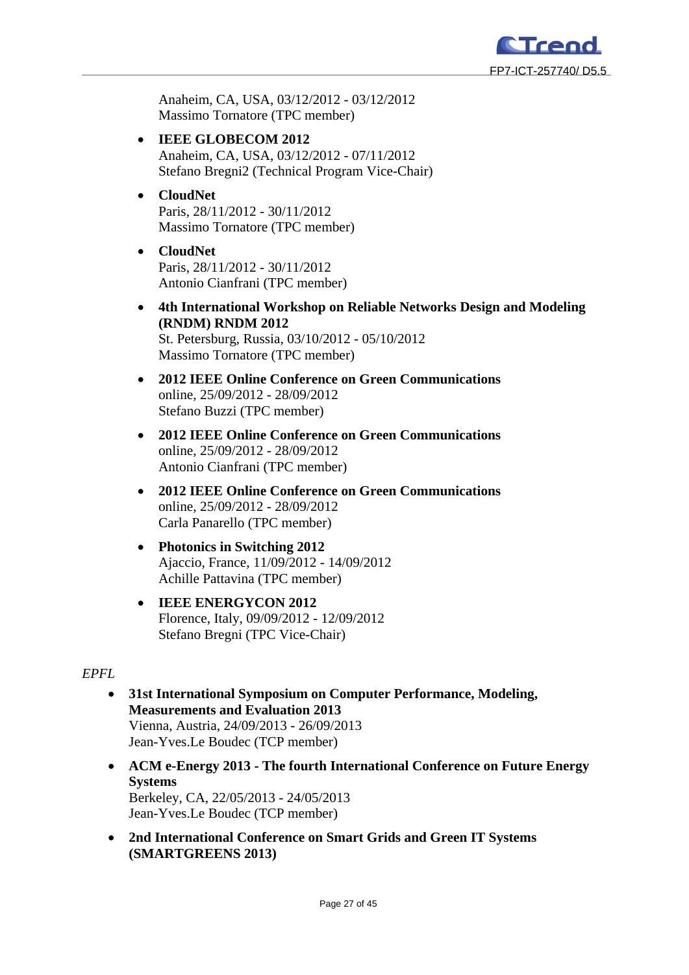

Anaheim, CA, USA, 03/12/2012 - 03/12/2012 Massimo Tornatore (TPC member)

- **IEEE GLOBECOM 2012** Anaheim, CA, USA, 03/12/2012 - 07/11/2012 Stefano Bregni2 (Technical Program Vice-Chair)
- **CloudNet**  Paris, 28/11/2012 - 30/11/2012 Massimo Tornatore (TPC member)
- **CloudNet**  Paris, 28/11/2012 - 30/11/2012 Antonio Cianfrani (TPC member)
- **4th International Workshop on Reliable Networks Design and Modeling (RNDM) RNDM 2012**  St. Petersburg, Russia, 03/10/2012 - 05/10/2012 Massimo Tornatore (TPC member)
- **2012 IEEE Online Conference on Green Communications** online, 25/09/2012 - 28/09/2012 Stefano Buzzi (TPC member)
- **2012 IEEE Online Conference on Green Communications** online, 25/09/2012 - 28/09/2012 Antonio Cianfrani (TPC member)
- **2012 IEEE Online Conference on Green Communications** online, 25/09/2012 - 28/09/2012 Carla Panarello (TPC member)
- **Photonics in Switching 2012** Ajaccio, France, 11/09/2012 - 14/09/2012 Achille Pattavina (TPC member)
- **IEEE ENERGYCON 2012** Florence, Italy, 09/09/2012 - 12/09/2012 Stefano Bregni (TPC Vice-Chair)

#### *EPFL*

- **31st International Symposium on Computer Performance, Modeling, Measurements and Evaluation 2013**  Vienna, Austria, 24/09/2013 - 26/09/2013 Jean-Yves.Le Boudec (TCP member)
- **ACM e-Energy 2013 The fourth International Conference on Future Energy Systems** Berkeley, CA, 22/05/2013 - 24/05/2013 Jean-Yves.Le Boudec (TCP member)
- **2nd International Conference on Smart Grids and Green IT Systems (SMARTGREENS 2013)**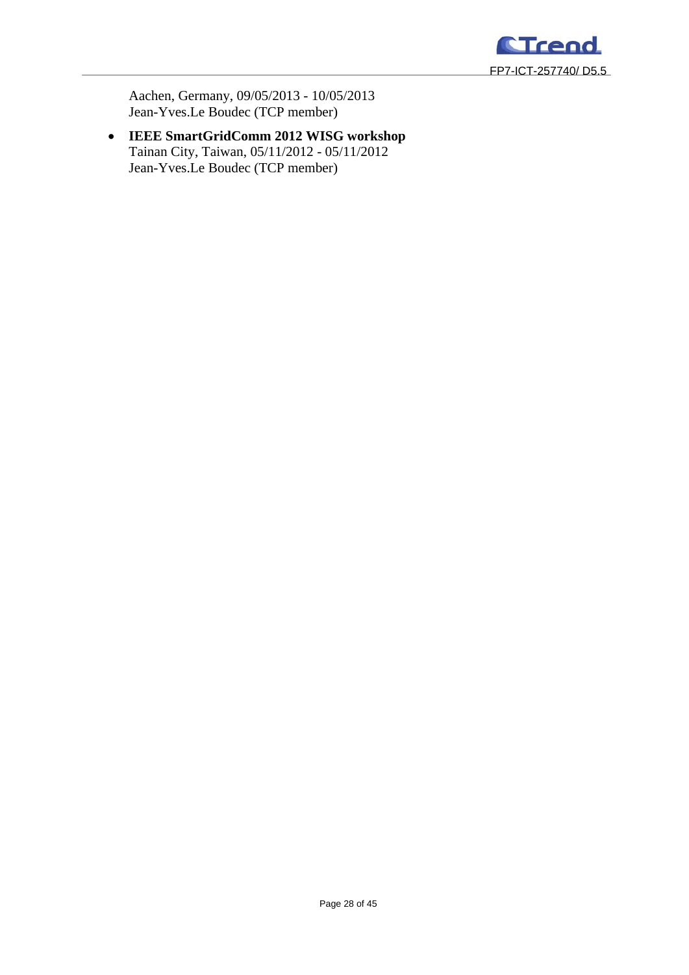

Aachen, Germany, 09/05/2013 - 10/05/2013 Jean-Yves.Le Boudec (TCP member)

• **IEEE SmartGridComm 2012 WISG workshop**  Tainan City, Taiwan, 05/11/2012 - 05/11/2012 Jean-Yves.Le Boudec (TCP member)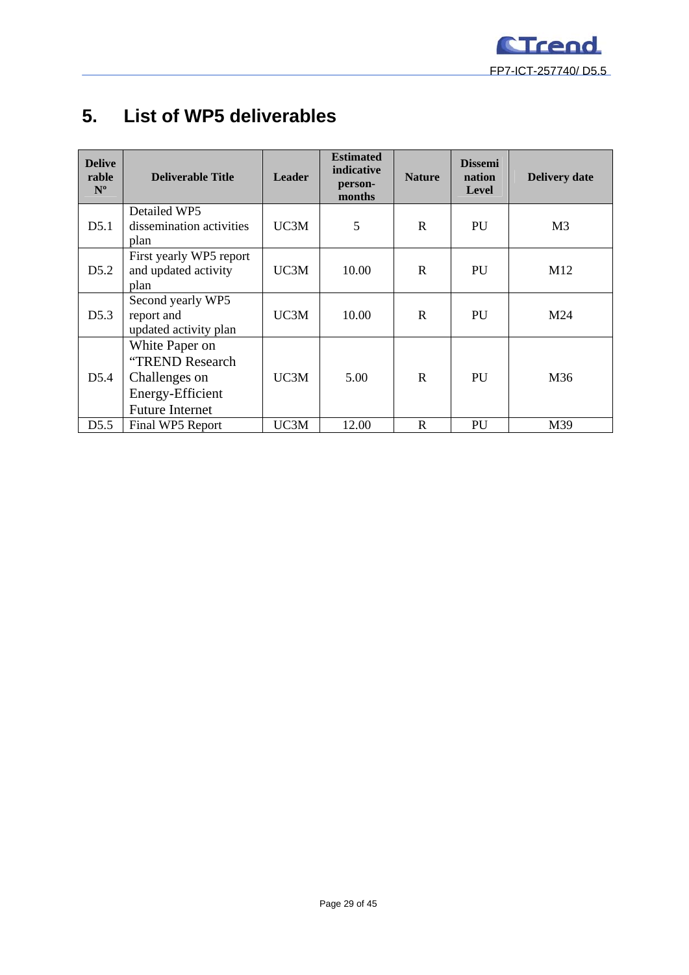

# **5. List of WP5 deliverables**

| <b>Delive</b><br>rable<br>$N^{\rm o}$ | <b>Deliverable Title</b>                                                                         | <b>Leader</b> | <b>Estimated</b><br>indicative<br>person-<br>months | <b>Nature</b> | <b>Dissemi</b><br>nation<br>Level | <b>Delivery date</b> |
|---------------------------------------|--------------------------------------------------------------------------------------------------|---------------|-----------------------------------------------------|---------------|-----------------------------------|----------------------|
| D5.1                                  | Detailed WP5<br>dissemination activities<br>plan                                                 | UC3M          | 5                                                   | R             | PU                                | M <sub>3</sub>       |
| D <sub>5.2</sub>                      | First yearly WP5 report<br>and updated activity<br>plan                                          | UC3M          | 10.00                                               | R             | PU                                | M <sub>12</sub>      |
| D <sub>5.3</sub>                      | Second yearly WP5<br>report and<br>updated activity plan                                         | UC3M          | 10.00                                               | R             | PU                                | M24                  |
| D <sub>5.4</sub>                      | White Paper on<br>"TREND Research<br>Challenges on<br>Energy-Efficient<br><b>Future Internet</b> | UC3M          | 5.00                                                | $\mathbf R$   | PU                                | M36                  |
| D <sub>5.5</sub>                      | Final WP5 Report                                                                                 | UC3M          | 12.00                                               | $\mathbb{R}$  | PU                                | M39                  |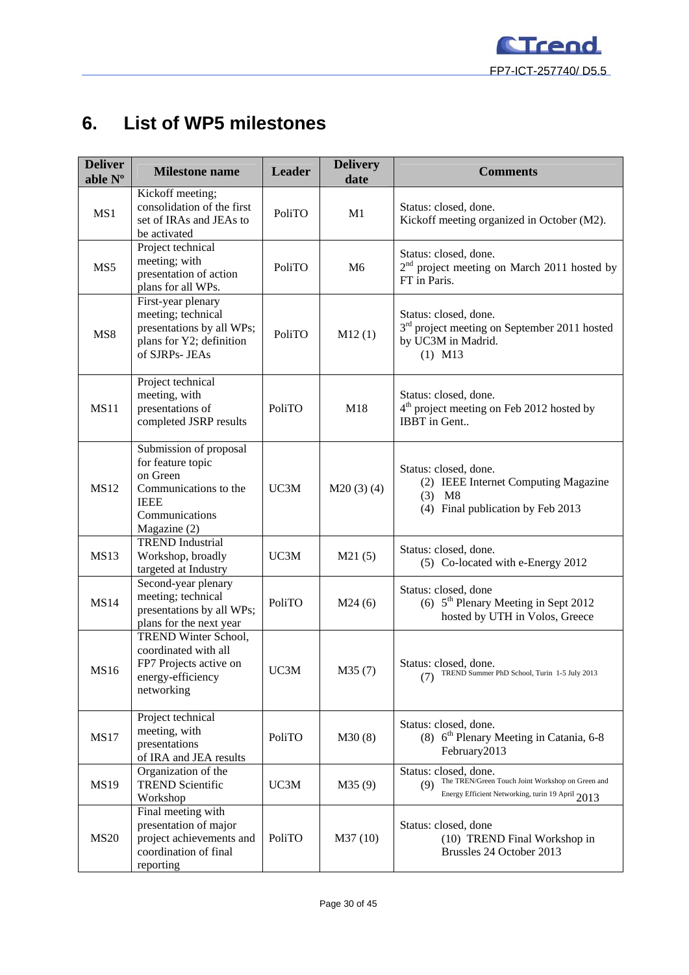

# **6. List of WP5 milestones**

| <b>Deliver</b><br>able N° | <b>Milestone name</b>                                                                                                             | <b>Leader</b> | <b>Delivery</b><br>date | <b>Comments</b>                                                                                                                      |
|---------------------------|-----------------------------------------------------------------------------------------------------------------------------------|---------------|-------------------------|--------------------------------------------------------------------------------------------------------------------------------------|
| MS1                       | Kickoff meeting;<br>consolidation of the first<br>set of IRAs and JEAs to<br>be activated                                         | PoliTO        | M1                      | Status: closed, done.<br>Kickoff meeting organized in October (M2).                                                                  |
| MS5                       | Project technical<br>meeting; with<br>presentation of action<br>plans for all WPs.                                                | PoliTO        | M <sub>6</sub>          | Status: closed, done.<br>2 <sup>nd</sup> project meeting on March 2011 hosted by<br>FT in Paris.                                     |
| MS8                       | First-year plenary<br>meeting; technical<br>presentations by all WPs;<br>plans for Y2; definition<br>of SJRPs- JEAs               | PoliTO        | M12(1)                  | Status: closed, done.<br>3 <sup>rd</sup> project meeting on September 2011 hosted<br>by UC3M in Madrid.<br>$(1)$ M13                 |
| <b>MS11</b>               | Project technical<br>meeting, with<br>presentations of<br>completed JSRP results                                                  | PoliTO        | M18                     | Status: closed, done.<br>4 <sup>th</sup> project meeting on Feb 2012 hosted by<br>IBBT in Gent                                       |
| <b>MS12</b>               | Submission of proposal<br>for feature topic<br>on Green<br>Communications to the<br><b>IEEE</b><br>Communications<br>Magazine (2) | UC3M          | M20(3)(4)               | Status: closed, done.<br>(2) IEEE Internet Computing Magazine<br>$(3)$ M <sub>8</sub><br>(4) Final publication by Feb 2013           |
| <b>MS13</b>               | <b>TREND</b> Industrial<br>Workshop, broadly<br>targeted at Industry                                                              | UC3M          | M21(5)                  | Status: closed, done.<br>(5) Co-located with e-Energy 2012                                                                           |
| <b>MS14</b>               | Second-year plenary<br>meeting; technical<br>presentations by all WPs;<br>plans for the next year                                 | PoliTO        | M24(6)                  | Status: closed, done<br>(6) 5 <sup>th</sup> Plenary Meeting in Sept 2012<br>hosted by UTH in Volos, Greece                           |
| <b>MS16</b>               | TREND Winter School,<br>coordinated with all<br>FP7 Projects active on<br>energy-efficiency<br>networking                         | UC3M          | M35(7)                  | Status: closed, done.<br>(7) TREND Summer PhD School, Turin 1-5 July 2013                                                            |
| <b>MS17</b>               | Project technical<br>meeting, with<br>presentations<br>of IRA and JEA results                                                     | PoliTO        | M30(8)                  | Status: closed, done.<br>(8) $6th$ Plenary Meeting in Catania, 6-8<br>February2013                                                   |
| MS19                      | Organization of the<br><b>TREND Scientific</b><br>Workshop                                                                        | UC3M          | M35(9)                  | Status: closed, done.<br>The TREN/Green Touch Joint Workshop on Green and<br>(9)<br>Energy Efficient Networking, turin 19 April 2013 |
| <b>MS20</b>               | Final meeting with<br>presentation of major<br>project achievements and<br>coordination of final<br>reporting                     | PoliTO        | M37 (10)                | Status: closed, done<br>(10) TREND Final Workshop in<br>Brussles 24 October 2013                                                     |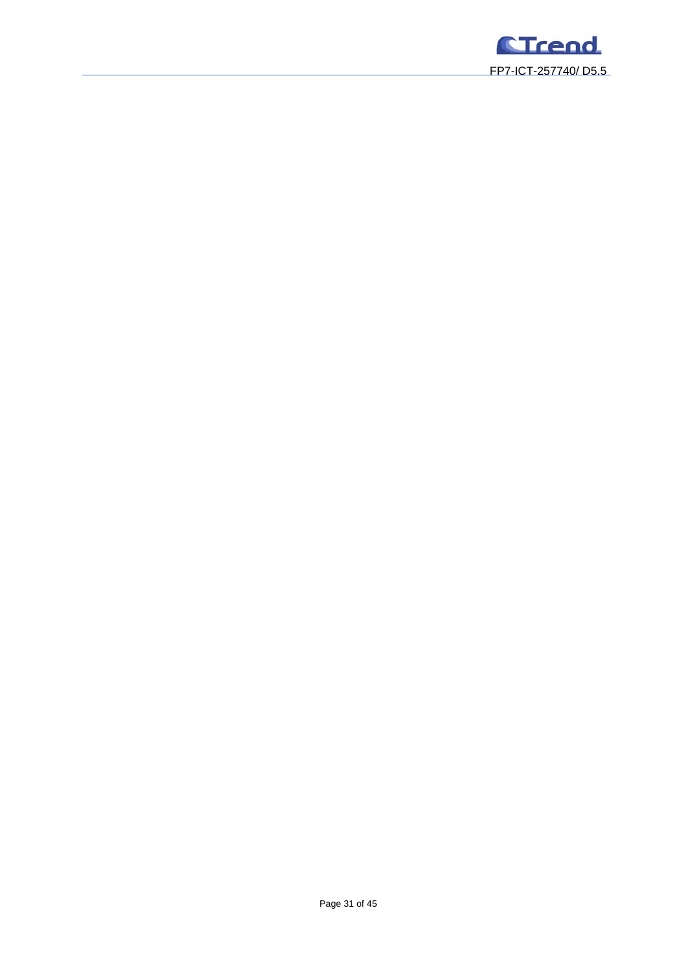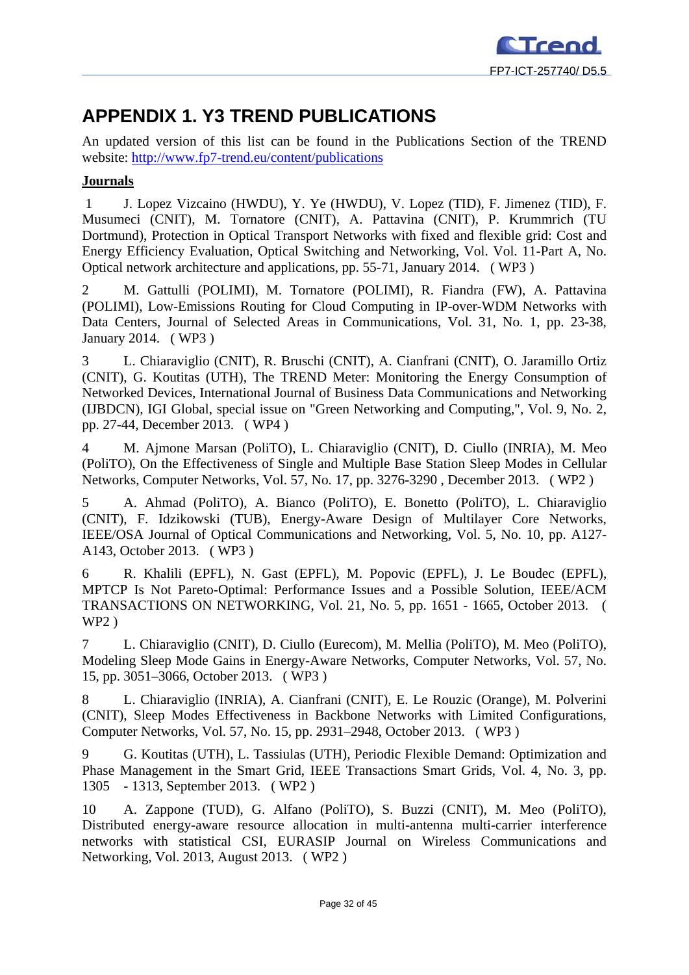

# **APPENDIX 1. Y3 TREND PUBLICATIONS**

An updated version of this list can be found in the Publications Section of the TREND website: http://www.fp7-trend.eu/content/publications

#### **Journals**

 1 J. Lopez Vizcaino (HWDU), Y. Ye (HWDU), V. Lopez (TID), F. Jimenez (TID), F. Musumeci (CNIT), M. Tornatore (CNIT), A. Pattavina (CNIT), P. Krummrich (TU Dortmund), Protection in Optical Transport Networks with fixed and flexible grid: Cost and Energy Efficiency Evaluation, Optical Switching and Networking, Vol. Vol. 11-Part A, No. Optical network architecture and applications, pp. 55-71, January 2014. ( WP3 )

2 M. Gattulli (POLIMI), M. Tornatore (POLIMI), R. Fiandra (FW), A. Pattavina (POLIMI), Low-Emissions Routing for Cloud Computing in IP-over-WDM Networks with Data Centers, Journal of Selected Areas in Communications, Vol. 31, No. 1, pp. 23-38, January 2014. ( WP3 )

3 L. Chiaraviglio (CNIT), R. Bruschi (CNIT), A. Cianfrani (CNIT), O. Jaramillo Ortiz (CNIT), G. Koutitas (UTH), The TREND Meter: Monitoring the Energy Consumption of Networked Devices, International Journal of Business Data Communications and Networking (IJBDCN), IGI Global, special issue on "Green Networking and Computing,", Vol. 9, No. 2, pp. 27-44, December 2013. ( WP4 )

4 M. Ajmone Marsan (PoliTO), L. Chiaraviglio (CNIT), D. Ciullo (INRIA), M. Meo (PoliTO), On the Effectiveness of Single and Multiple Base Station Sleep Modes in Cellular Networks, Computer Networks, Vol. 57, No. 17, pp. 3276-3290 , December 2013. ( WP2 )

5 A. Ahmad (PoliTO), A. Bianco (PoliTO), E. Bonetto (PoliTO), L. Chiaraviglio (CNIT), F. Idzikowski (TUB), Energy-Aware Design of Multilayer Core Networks, IEEE/OSA Journal of Optical Communications and Networking, Vol. 5, No. 10, pp. A127- A143, October 2013. ( WP3 )

6 R. Khalili (EPFL), N. Gast (EPFL), M. Popovic (EPFL), J. Le Boudec (EPFL), MPTCP Is Not Pareto-Optimal: Performance Issues and a Possible Solution, IEEE/ACM TRANSACTIONS ON NETWORKING, Vol. 21, No. 5, pp. 1651 - 1665, October 2013. ( WP2 )

7 L. Chiaraviglio (CNIT), D. Ciullo (Eurecom), M. Mellia (PoliTO), M. Meo (PoliTO), Modeling Sleep Mode Gains in Energy-Aware Networks, Computer Networks, Vol. 57, No. 15, pp. 3051–3066, October 2013. ( WP3 )

8 L. Chiaraviglio (INRIA), A. Cianfrani (CNIT), E. Le Rouzic (Orange), M. Polverini (CNIT), Sleep Modes Effectiveness in Backbone Networks with Limited Configurations, Computer Networks, Vol. 57, No. 15, pp. 2931–2948, October 2013. ( WP3 )

9 G. Koutitas (UTH), L. Tassiulas (UTH), Periodic Flexible Demand: Optimization and Phase Management in the Smart Grid, IEEE Transactions Smart Grids, Vol. 4, No. 3, pp. 1305 - 1313, September 2013. ( WP2 )

10 A. Zappone (TUD), G. Alfano (PoliTO), S. Buzzi (CNIT), M. Meo (PoliTO), Distributed energy-aware resource allocation in multi-antenna multi-carrier interference networks with statistical CSI, EURASIP Journal on Wireless Communications and Networking, Vol. 2013, August 2013. ( WP2 )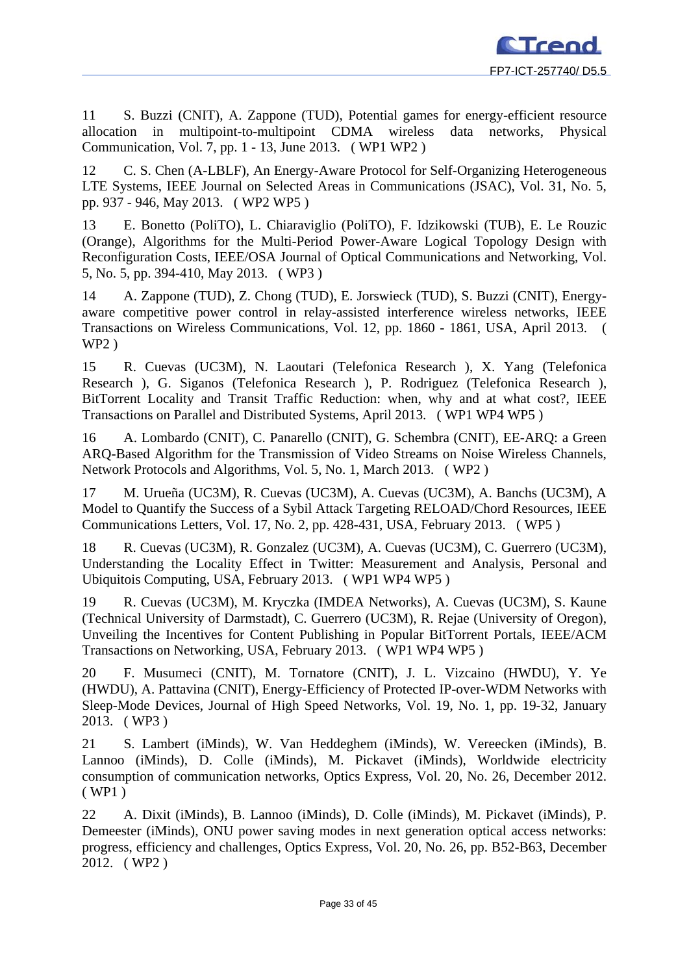

11 S. Buzzi (CNIT), A. Zappone (TUD), Potential games for energy-efficient resource allocation in multipoint-to-multipoint CDMA wireless data networks, Physical Communication, Vol. 7, pp. 1 - 13, June 2013. ( WP1 WP2 )

12 C. S. Chen (A-LBLF), An Energy-Aware Protocol for Self-Organizing Heterogeneous LTE Systems, IEEE Journal on Selected Areas in Communications (JSAC), Vol. 31, No. 5, pp. 937 - 946, May 2013. ( WP2 WP5 )

13 E. Bonetto (PoliTO), L. Chiaraviglio (PoliTO), F. Idzikowski (TUB), E. Le Rouzic (Orange), Algorithms for the Multi-Period Power-Aware Logical Topology Design with Reconfiguration Costs, IEEE/OSA Journal of Optical Communications and Networking, Vol. 5, No. 5, pp. 394-410, May 2013. ( WP3 )

14 A. Zappone (TUD), Z. Chong (TUD), E. Jorswieck (TUD), S. Buzzi (CNIT), Energyaware competitive power control in relay-assisted interference wireless networks, IEEE Transactions on Wireless Communications, Vol. 12, pp. 1860 - 1861, USA, April 2013. ( WP2 )

15 R. Cuevas (UC3M), N. Laoutari (Telefonica Research ), X. Yang (Telefonica Research ), G. Siganos (Telefonica Research ), P. Rodriguez (Telefonica Research ), BitTorrent Locality and Transit Traffic Reduction: when, why and at what cost?, IEEE Transactions on Parallel and Distributed Systems, April 2013. ( WP1 WP4 WP5 )

16 A. Lombardo (CNIT), C. Panarello (CNIT), G. Schembra (CNIT), EE-ARQ: a Green ARQ-Based Algorithm for the Transmission of Video Streams on Noise Wireless Channels, Network Protocols and Algorithms, Vol. 5, No. 1, March 2013. ( WP2 )

17 M. Urueña (UC3M), R. Cuevas (UC3M), A. Cuevas (UC3M), A. Banchs (UC3M), A Model to Quantify the Success of a Sybil Attack Targeting RELOAD/Chord Resources, IEEE Communications Letters, Vol. 17, No. 2, pp. 428-431, USA, February 2013. ( WP5 )

18 R. Cuevas (UC3M), R. Gonzalez (UC3M), A. Cuevas (UC3M), C. Guerrero (UC3M), Understanding the Locality Effect in Twitter: Measurement and Analysis, Personal and Ubiquitois Computing, USA, February 2013. ( WP1 WP4 WP5 )

19 R. Cuevas (UC3M), M. Kryczka (IMDEA Networks), A. Cuevas (UC3M), S. Kaune (Technical University of Darmstadt), C. Guerrero (UC3M), R. Rejae (University of Oregon), Unveiling the Incentives for Content Publishing in Popular BitTorrent Portals, IEEE/ACM Transactions on Networking, USA, February 2013. ( WP1 WP4 WP5 )

20 F. Musumeci (CNIT), M. Tornatore (CNIT), J. L. Vizcaino (HWDU), Y. Ye (HWDU), A. Pattavina (CNIT), Energy-Efficiency of Protected IP-over-WDM Networks with Sleep-Mode Devices, Journal of High Speed Networks, Vol. 19, No. 1, pp. 19-32, January 2013. ( WP3 )

21 S. Lambert (iMinds), W. Van Heddeghem (iMinds), W. Vereecken (iMinds), B. Lannoo (iMinds), D. Colle (iMinds), M. Pickavet (iMinds), Worldwide electricity consumption of communication networks, Optics Express, Vol. 20, No. 26, December 2012. ( WP1 )

22 A. Dixit (iMinds), B. Lannoo (iMinds), D. Colle (iMinds), M. Pickavet (iMinds), P. Demeester (iMinds), ONU power saving modes in next generation optical access networks: progress, efficiency and challenges, Optics Express, Vol. 20, No. 26, pp. B52-B63, December 2012. ( WP2 )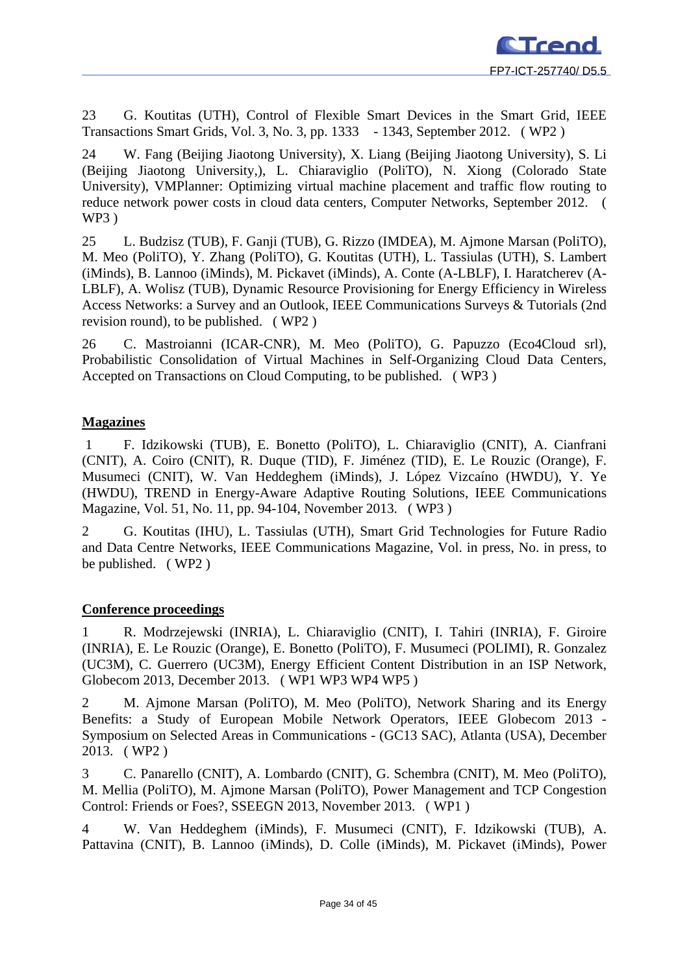

23 G. Koutitas (UTH), Control of Flexible Smart Devices in the Smart Grid, IEEE Transactions Smart Grids, Vol. 3, No. 3, pp. 1333 - 1343, September 2012. ( WP2 )

24 W. Fang (Beijing Jiaotong University), X. Liang (Beijing Jiaotong University), S. Li (Beijing Jiaotong University,), L. Chiaraviglio (PoliTO), N. Xiong (Colorado State University), VMPlanner: Optimizing virtual machine placement and traffic flow routing to reduce network power costs in cloud data centers, Computer Networks, September 2012. ( WP3 )

25 L. Budzisz (TUB), F. Ganji (TUB), G. Rizzo (IMDEA), M. Ajmone Marsan (PoliTO), M. Meo (PoliTO), Y. Zhang (PoliTO), G. Koutitas (UTH), L. Tassiulas (UTH), S. Lambert (iMinds), B. Lannoo (iMinds), M. Pickavet (iMinds), A. Conte (A-LBLF), I. Haratcherev (A-LBLF), A. Wolisz (TUB), Dynamic Resource Provisioning for Energy Efficiency in Wireless Access Networks: a Survey and an Outlook, IEEE Communications Surveys & Tutorials (2nd revision round), to be published. ( WP2 )

26 C. Mastroianni (ICAR-CNR), M. Meo (PoliTO), G. Papuzzo (Eco4Cloud srl), Probabilistic Consolidation of Virtual Machines in Self-Organizing Cloud Data Centers, Accepted on Transactions on Cloud Computing, to be published. ( WP3 )

#### **Magazines**

 1 F. Idzikowski (TUB), E. Bonetto (PoliTO), L. Chiaraviglio (CNIT), A. Cianfrani (CNIT), A. Coiro (CNIT), R. Duque (TID), F. Jiménez (TID), E. Le Rouzic (Orange), F. Musumeci (CNIT), W. Van Heddeghem (iMinds), J. López Vizcaíno (HWDU), Y. Ye (HWDU), TREND in Energy-Aware Adaptive Routing Solutions, IEEE Communications Magazine, Vol. 51, No. 11, pp. 94-104, November 2013. ( WP3 )

2 G. Koutitas (IHU), L. Tassiulas (UTH), Smart Grid Technologies for Future Radio and Data Centre Networks, IEEE Communications Magazine, Vol. in press, No. in press, to be published. ( WP2 )

#### **Conference proceedings**

1 R. Modrzejewski (INRIA), L. Chiaraviglio (CNIT), I. Tahiri (INRIA), F. Giroire (INRIA), E. Le Rouzic (Orange), E. Bonetto (PoliTO), F. Musumeci (POLIMI), R. Gonzalez (UC3M), C. Guerrero (UC3M), Energy Efficient Content Distribution in an ISP Network, Globecom 2013, December 2013. ( WP1 WP3 WP4 WP5 )

2 M. Ajmone Marsan (PoliTO), M. Meo (PoliTO), Network Sharing and its Energy Benefits: a Study of European Mobile Network Operators, IEEE Globecom 2013 - Symposium on Selected Areas in Communications - (GC13 SAC), Atlanta (USA), December 2013. ( WP2 )

3 C. Panarello (CNIT), A. Lombardo (CNIT), G. Schembra (CNIT), M. Meo (PoliTO), M. Mellia (PoliTO), M. Ajmone Marsan (PoliTO), Power Management and TCP Congestion Control: Friends or Foes?, SSEEGN 2013, November 2013. ( WP1 )

4 W. Van Heddeghem (iMinds), F. Musumeci (CNIT), F. Idzikowski (TUB), A. Pattavina (CNIT), B. Lannoo (iMinds), D. Colle (iMinds), M. Pickavet (iMinds), Power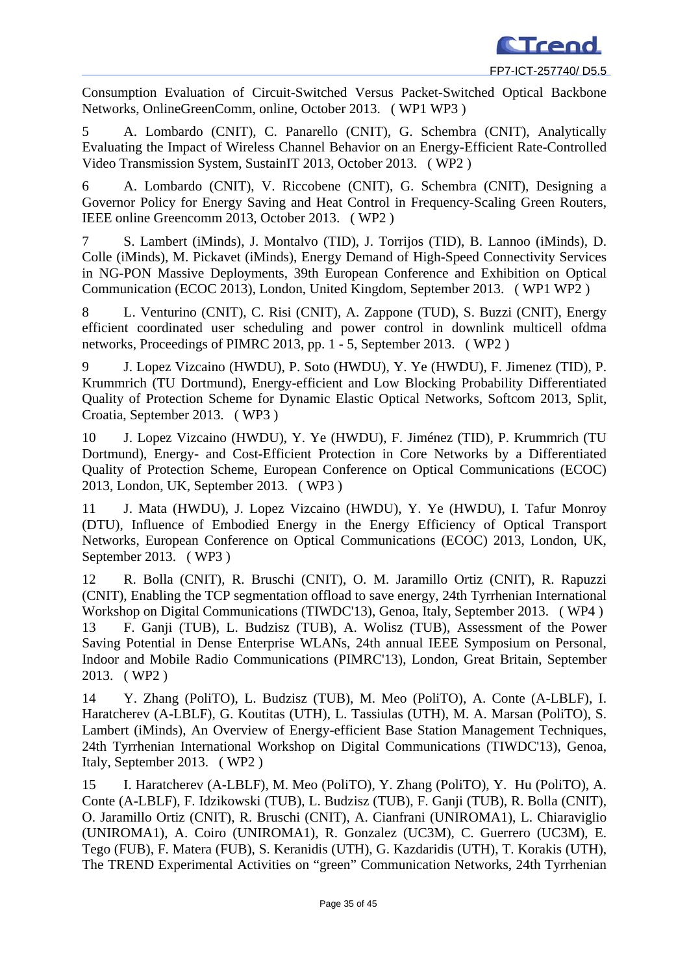

Consumption Evaluation of Circuit-Switched Versus Packet-Switched Optical Backbone Networks, OnlineGreenComm, online, October 2013. ( WP1 WP3 )

5 A. Lombardo (CNIT), C. Panarello (CNIT), G. Schembra (CNIT), Analytically Evaluating the Impact of Wireless Channel Behavior on an Energy-Efficient Rate-Controlled Video Transmission System, SustainIT 2013, October 2013. ( WP2 )

6 A. Lombardo (CNIT), V. Riccobene (CNIT), G. Schembra (CNIT), Designing a Governor Policy for Energy Saving and Heat Control in Frequency-Scaling Green Routers, IEEE online Greencomm 2013, October 2013. ( WP2 )

7 S. Lambert (iMinds), J. Montalvo (TID), J. Torrijos (TID), B. Lannoo (iMinds), D. Colle (iMinds), M. Pickavet (iMinds), Energy Demand of High-Speed Connectivity Services in NG-PON Massive Deployments, 39th European Conference and Exhibition on Optical Communication (ECOC 2013), London, United Kingdom, September 2013. ( WP1 WP2 )

8 L. Venturino (CNIT), C. Risi (CNIT), A. Zappone (TUD), S. Buzzi (CNIT), Energy efficient coordinated user scheduling and power control in downlink multicell ofdma networks, Proceedings of PIMRC 2013, pp. 1 - 5, September 2013. ( WP2 )

9 J. Lopez Vizcaino (HWDU), P. Soto (HWDU), Y. Ye (HWDU), F. Jimenez (TID), P. Krummrich (TU Dortmund), Energy-efficient and Low Blocking Probability Differentiated Quality of Protection Scheme for Dynamic Elastic Optical Networks, Softcom 2013, Split, Croatia, September 2013. ( WP3 )

10 J. Lopez Vizcaino (HWDU), Y. Ye (HWDU), F. Jiménez (TID), P. Krummrich (TU Dortmund), Energy- and Cost-Efficient Protection in Core Networks by a Differentiated Quality of Protection Scheme, European Conference on Optical Communications (ECOC) 2013, London, UK, September 2013. ( WP3 )

11 J. Mata (HWDU), J. Lopez Vizcaino (HWDU), Y. Ye (HWDU), I. Tafur Monroy (DTU), Influence of Embodied Energy in the Energy Efficiency of Optical Transport Networks, European Conference on Optical Communications (ECOC) 2013, London, UK, September 2013. ( WP3 )

12 R. Bolla (CNIT), R. Bruschi (CNIT), O. M. Jaramillo Ortiz (CNIT), R. Rapuzzi (CNIT), Enabling the TCP segmentation offload to save energy, 24th Tyrrhenian International Workshop on Digital Communications (TIWDC'13), Genoa, Italy, September 2013. ( WP4 ) 13 F. Ganji (TUB), L. Budzisz (TUB), A. Wolisz (TUB), Assessment of the Power Saving Potential in Dense Enterprise WLANs, 24th annual IEEE Symposium on Personal, Indoor and Mobile Radio Communications (PIMRC'13), London, Great Britain, September 2013. ( WP2 )

14 Y. Zhang (PoliTO), L. Budzisz (TUB), M. Meo (PoliTO), A. Conte (A-LBLF), I. Haratcherev (A-LBLF), G. Koutitas (UTH), L. Tassiulas (UTH), M. A. Marsan (PoliTO), S. Lambert (iMinds), An Overview of Energy-efficient Base Station Management Techniques, 24th Tyrrhenian International Workshop on Digital Communications (TIWDC'13), Genoa, Italy, September 2013. ( WP2 )

15 I. Haratcherev (A-LBLF), M. Meo (PoliTO), Y. Zhang (PoliTO), Y. Hu (PoliTO), A. Conte (A-LBLF), F. Idzikowski (TUB), L. Budzisz (TUB), F. Ganji (TUB), R. Bolla (CNIT), O. Jaramillo Ortiz (CNIT), R. Bruschi (CNIT), A. Cianfrani (UNIROMA1), L. Chiaraviglio (UNIROMA1), A. Coiro (UNIROMA1), R. Gonzalez (UC3M), C. Guerrero (UC3M), E. Tego (FUB), F. Matera (FUB), S. Keranidis (UTH), G. Kazdaridis (UTH), T. Korakis (UTH), The TREND Experimental Activities on "green" Communication Networks, 24th Tyrrhenian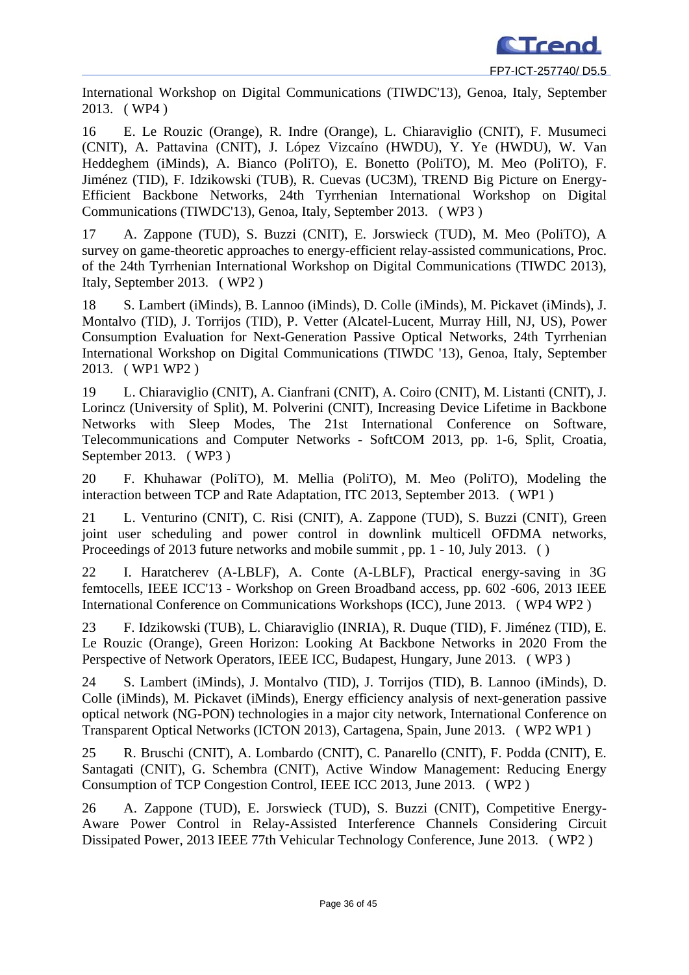

International Workshop on Digital Communications (TIWDC'13), Genoa, Italy, September 2013. ( WP4 )

16 E. Le Rouzic (Orange), R. Indre (Orange), L. Chiaraviglio (CNIT), F. Musumeci (CNIT), A. Pattavina (CNIT), J. López Vizcaíno (HWDU), Y. Ye (HWDU), W. Van Heddeghem (iMinds), A. Bianco (PoliTO), E. Bonetto (PoliTO), M. Meo (PoliTO), F. Jiménez (TID), F. Idzikowski (TUB), R. Cuevas (UC3M), TREND Big Picture on Energy-Efficient Backbone Networks, 24th Tyrrhenian International Workshop on Digital Communications (TIWDC'13), Genoa, Italy, September 2013. ( WP3 )

17 A. Zappone (TUD), S. Buzzi (CNIT), E. Jorswieck (TUD), M. Meo (PoliTO), A survey on game-theoretic approaches to energy-efficient relay-assisted communications, Proc. of the 24th Tyrrhenian International Workshop on Digital Communications (TIWDC 2013), Italy, September 2013. ( WP2 )

18 S. Lambert (iMinds), B. Lannoo (iMinds), D. Colle (iMinds), M. Pickavet (iMinds), J. Montalvo (TID), J. Torrijos (TID), P. Vetter (Alcatel-Lucent, Murray Hill, NJ, US), Power Consumption Evaluation for Next-Generation Passive Optical Networks, 24th Tyrrhenian International Workshop on Digital Communications (TIWDC '13), Genoa, Italy, September 2013. ( WP1 WP2 )

19 L. Chiaraviglio (CNIT), A. Cianfrani (CNIT), A. Coiro (CNIT), M. Listanti (CNIT), J. Lorincz (University of Split), M. Polverini (CNIT), Increasing Device Lifetime in Backbone Networks with Sleep Modes, The 21st International Conference on Software, Telecommunications and Computer Networks - SoftCOM 2013, pp. 1-6, Split, Croatia, September 2013. ( WP3 )

20 F. Khuhawar (PoliTO), M. Mellia (PoliTO), M. Meo (PoliTO), Modeling the interaction between TCP and Rate Adaptation, ITC 2013, September 2013. ( WP1 )

21 L. Venturino (CNIT), C. Risi (CNIT), A. Zappone (TUD), S. Buzzi (CNIT), Green joint user scheduling and power control in downlink multicell OFDMA networks, Proceedings of 2013 future networks and mobile summit , pp. 1 - 10, July 2013. ( )

22 I. Haratcherev (A-LBLF), A. Conte (A-LBLF), Practical energy-saving in 3G femtocells, IEEE ICC'13 - Workshop on Green Broadband access, pp. 602 -606, 2013 IEEE International Conference on Communications Workshops (ICC), June 2013. ( WP4 WP2 )

23 F. Idzikowski (TUB), L. Chiaraviglio (INRIA), R. Duque (TID), F. Jiménez (TID), E. Le Rouzic (Orange), Green Horizon: Looking At Backbone Networks in 2020 From the Perspective of Network Operators, IEEE ICC, Budapest, Hungary, June 2013. ( WP3 )

24 S. Lambert (iMinds), J. Montalvo (TID), J. Torrijos (TID), B. Lannoo (iMinds), D. Colle (iMinds), M. Pickavet (iMinds), Energy efficiency analysis of next-generation passive optical network (NG-PON) technologies in a major city network, International Conference on Transparent Optical Networks (ICTON 2013), Cartagena, Spain, June 2013. ( WP2 WP1 )

25 R. Bruschi (CNIT), A. Lombardo (CNIT), C. Panarello (CNIT), F. Podda (CNIT), E. Santagati (CNIT), G. Schembra (CNIT), Active Window Management: Reducing Energy Consumption of TCP Congestion Control, IEEE ICC 2013, June 2013. ( WP2 )

26 A. Zappone (TUD), E. Jorswieck (TUD), S. Buzzi (CNIT), Competitive Energy-Aware Power Control in Relay-Assisted Interference Channels Considering Circuit Dissipated Power, 2013 IEEE 77th Vehicular Technology Conference, June 2013. ( WP2 )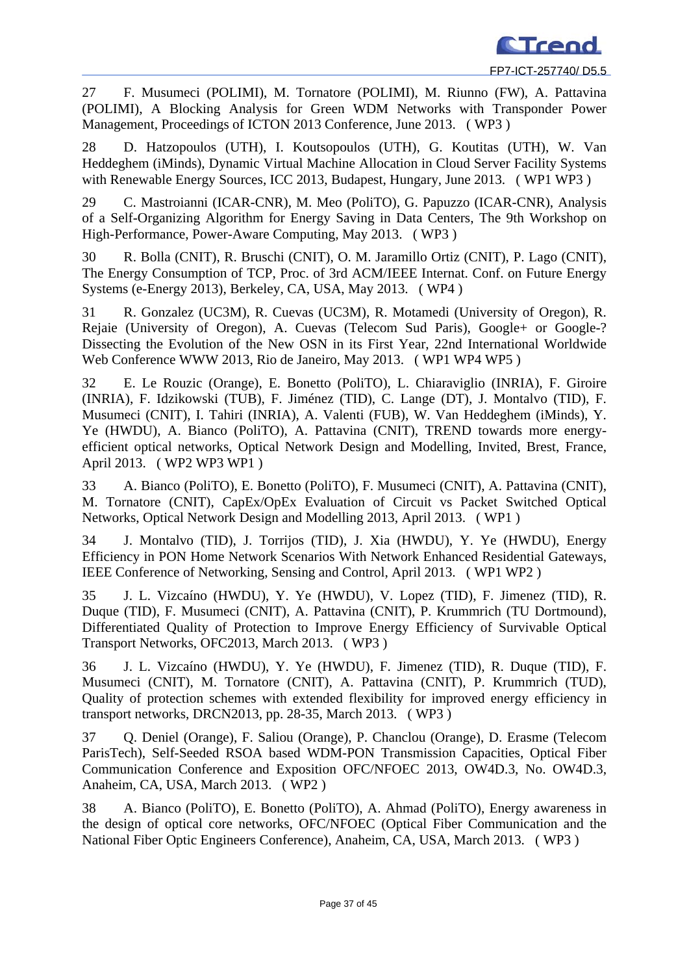

27 F. Musumeci (POLIMI), M. Tornatore (POLIMI), M. Riunno (FW), A. Pattavina (POLIMI), A Blocking Analysis for Green WDM Networks with Transponder Power Management, Proceedings of ICTON 2013 Conference, June 2013. ( WP3 )

28 D. Hatzopoulos (UTH), I. Koutsopoulos (UTH), G. Koutitas (UTH), W. Van Heddeghem (iMinds), Dynamic Virtual Machine Allocation in Cloud Server Facility Systems with Renewable Energy Sources, ICC 2013, Budapest, Hungary, June 2013. ( WP1 WP3 )

29 C. Mastroianni (ICAR-CNR), M. Meo (PoliTO), G. Papuzzo (ICAR-CNR), Analysis of a Self-Organizing Algorithm for Energy Saving in Data Centers, The 9th Workshop on High-Performance, Power-Aware Computing, May 2013. ( WP3 )

30 R. Bolla (CNIT), R. Bruschi (CNIT), O. M. Jaramillo Ortiz (CNIT), P. Lago (CNIT), The Energy Consumption of TCP, Proc. of 3rd ACM/IEEE Internat. Conf. on Future Energy Systems (e-Energy 2013), Berkeley, CA, USA, May 2013. ( WP4 )

31 R. Gonzalez (UC3M), R. Cuevas (UC3M), R. Motamedi (University of Oregon), R. Rejaie (University of Oregon), A. Cuevas (Telecom Sud Paris), Google+ or Google-? Dissecting the Evolution of the New OSN in its First Year, 22nd International Worldwide Web Conference WWW 2013, Rio de Janeiro, May 2013. ( WP1 WP4 WP5 )

32 E. Le Rouzic (Orange), E. Bonetto (PoliTO), L. Chiaraviglio (INRIA), F. Giroire (INRIA), F. Idzikowski (TUB), F. Jiménez (TID), C. Lange (DT), J. Montalvo (TID), F. Musumeci (CNIT), I. Tahiri (INRIA), A. Valenti (FUB), W. Van Heddeghem (iMinds), Y. Ye (HWDU), A. Bianco (PoliTO), A. Pattavina (CNIT), TREND towards more energyefficient optical networks, Optical Network Design and Modelling, Invited, Brest, France, April 2013. ( WP2 WP3 WP1 )

33 A. Bianco (PoliTO), E. Bonetto (PoliTO), F. Musumeci (CNIT), A. Pattavina (CNIT), M. Tornatore (CNIT), CapEx/OpEx Evaluation of Circuit vs Packet Switched Optical Networks, Optical Network Design and Modelling 2013, April 2013. ( WP1 )

34 J. Montalvo (TID), J. Torrijos (TID), J. Xia (HWDU), Y. Ye (HWDU), Energy Efficiency in PON Home Network Scenarios With Network Enhanced Residential Gateways, IEEE Conference of Networking, Sensing and Control, April 2013. ( WP1 WP2 )

35 J. L. Vizcaíno (HWDU), Y. Ye (HWDU), V. Lopez (TID), F. Jimenez (TID), R. Duque (TID), F. Musumeci (CNIT), A. Pattavina (CNIT), P. Krummrich (TU Dortmound), Differentiated Quality of Protection to Improve Energy Efficiency of Survivable Optical Transport Networks, OFC2013, March 2013. ( WP3 )

36 J. L. Vizcaíno (HWDU), Y. Ye (HWDU), F. Jimenez (TID), R. Duque (TID), F. Musumeci (CNIT), M. Tornatore (CNIT), A. Pattavina (CNIT), P. Krummrich (TUD), Quality of protection schemes with extended flexibility for improved energy efficiency in transport networks, DRCN2013, pp. 28-35, March 2013. ( WP3 )

37 Q. Deniel (Orange), F. Saliou (Orange), P. Chanclou (Orange), D. Erasme (Telecom ParisTech), Self-Seeded RSOA based WDM-PON Transmission Capacities, Optical Fiber Communication Conference and Exposition OFC/NFOEC 2013, OW4D.3, No. OW4D.3, Anaheim, CA, USA, March 2013. ( WP2 )

38 A. Bianco (PoliTO), E. Bonetto (PoliTO), A. Ahmad (PoliTO), Energy awareness in the design of optical core networks, OFC/NFOEC (Optical Fiber Communication and the National Fiber Optic Engineers Conference), Anaheim, CA, USA, March 2013. ( WP3 )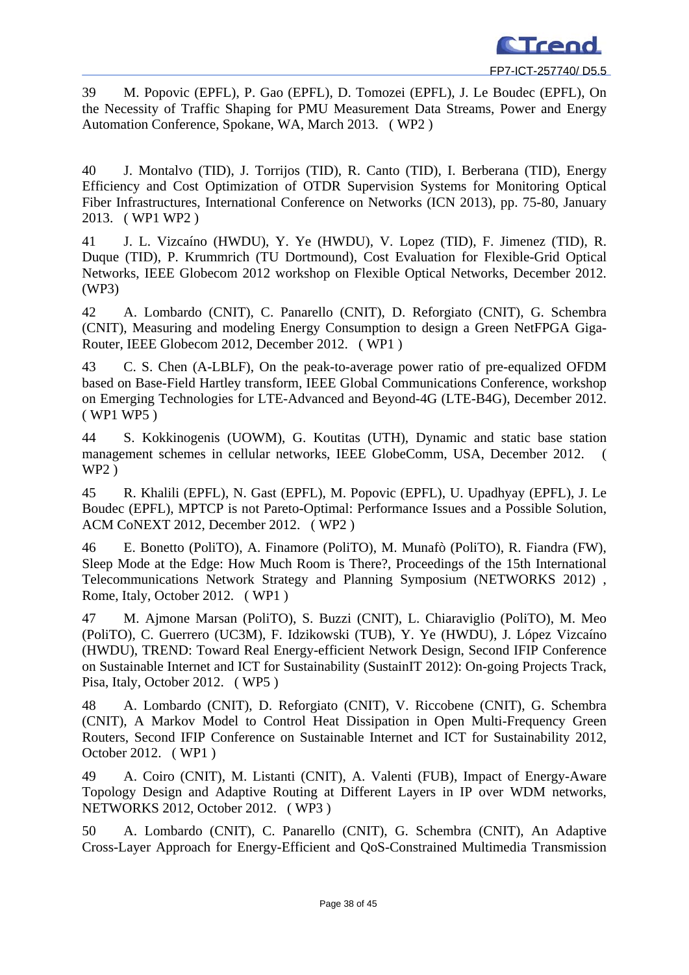

39 M. Popovic (EPFL), P. Gao (EPFL), D. Tomozei (EPFL), J. Le Boudec (EPFL), On the Necessity of Traffic Shaping for PMU Measurement Data Streams, Power and Energy Automation Conference, Spokane, WA, March 2013. ( WP2 )

40 J. Montalvo (TID), J. Torrijos (TID), R. Canto (TID), I. Berberana (TID), Energy Efficiency and Cost Optimization of OTDR Supervision Systems for Monitoring Optical Fiber Infrastructures, International Conference on Networks (ICN 2013), pp. 75-80, January 2013. ( WP1 WP2 )

41 J. L. Vizcaíno (HWDU), Y. Ye (HWDU), V. Lopez (TID), F. Jimenez (TID), R. Duque (TID), P. Krummrich (TU Dortmound), Cost Evaluation for Flexible-Grid Optical Networks, IEEE Globecom 2012 workshop on Flexible Optical Networks, December 2012. (WP3)

42 A. Lombardo (CNIT), C. Panarello (CNIT), D. Reforgiato (CNIT), G. Schembra (CNIT), Measuring and modeling Energy Consumption to design a Green NetFPGA Giga-Router, IEEE Globecom 2012, December 2012. ( WP1 )

43 C. S. Chen (A-LBLF), On the peak-to-average power ratio of pre-equalized OFDM based on Base-Field Hartley transform, IEEE Global Communications Conference, workshop on Emerging Technologies for LTE-Advanced and Beyond-4G (LTE-B4G), December 2012. ( WP1 WP5 )

44 S. Kokkinogenis (UOWM), G. Koutitas (UTH), Dynamic and static base station management schemes in cellular networks, IEEE GlobeComm, USA, December 2012. ( WP2 )

45 R. Khalili (EPFL), N. Gast (EPFL), M. Popovic (EPFL), U. Upadhyay (EPFL), J. Le Boudec (EPFL), MPTCP is not Pareto-Optimal: Performance Issues and a Possible Solution, ACM CoNEXT 2012, December 2012. ( WP2 )

46 E. Bonetto (PoliTO), A. Finamore (PoliTO), M. Munafò (PoliTO), R. Fiandra (FW), Sleep Mode at the Edge: How Much Room is There?, Proceedings of the 15th International Telecommunications Network Strategy and Planning Symposium (NETWORKS 2012) , Rome, Italy, October 2012. ( WP1 )

47 M. Ajmone Marsan (PoliTO), S. Buzzi (CNIT), L. Chiaraviglio (PoliTO), M. Meo (PoliTO), C. Guerrero (UC3M), F. Idzikowski (TUB), Y. Ye (HWDU), J. López Vizcaíno (HWDU), TREND: Toward Real Energy-efficient Network Design, Second IFIP Conference on Sustainable Internet and ICT for Sustainability (SustainIT 2012): On-going Projects Track, Pisa, Italy, October 2012. ( WP5 )

48 A. Lombardo (CNIT), D. Reforgiato (CNIT), V. Riccobene (CNIT), G. Schembra (CNIT), A Markov Model to Control Heat Dissipation in Open Multi-Frequency Green Routers, Second IFIP Conference on Sustainable Internet and ICT for Sustainability 2012, October 2012. ( WP1 )

49 A. Coiro (CNIT), M. Listanti (CNIT), A. Valenti (FUB), Impact of Energy-Aware Topology Design and Adaptive Routing at Different Layers in IP over WDM networks, NETWORKS 2012, October 2012. ( WP3 )

50 A. Lombardo (CNIT), C. Panarello (CNIT), G. Schembra (CNIT), An Adaptive Cross-Layer Approach for Energy-Efficient and QoS-Constrained Multimedia Transmission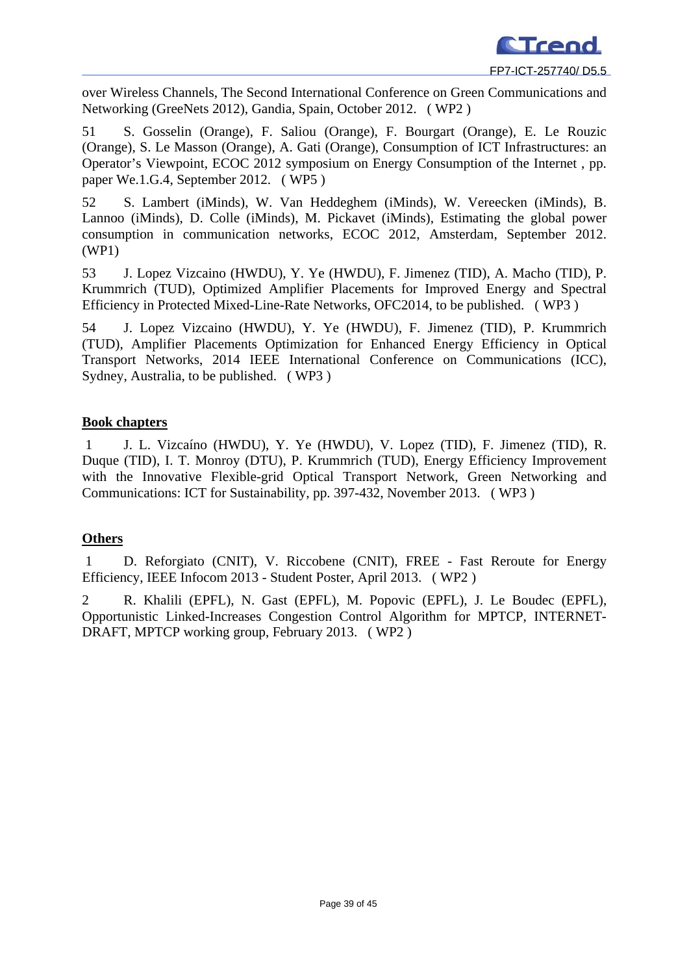

over Wireless Channels, The Second International Conference on Green Communications and Networking (GreeNets 2012), Gandia, Spain, October 2012. ( WP2 )

51 S. Gosselin (Orange), F. Saliou (Orange), F. Bourgart (Orange), E. Le Rouzic (Orange), S. Le Masson (Orange), A. Gati (Orange), Consumption of ICT Infrastructures: an Operator's Viewpoint, ECOC 2012 symposium on Energy Consumption of the Internet , pp. paper We.1.G.4, September 2012. ( WP5 )

52 S. Lambert (iMinds), W. Van Heddeghem (iMinds), W. Vereecken (iMinds), B. Lannoo (iMinds), D. Colle (iMinds), M. Pickavet (iMinds), Estimating the global power consumption in communication networks, ECOC 2012, Amsterdam, September 2012. (WP1)

53 J. Lopez Vizcaino (HWDU), Y. Ye (HWDU), F. Jimenez (TID), A. Macho (TID), P. Krummrich (TUD), Optimized Amplifier Placements for Improved Energy and Spectral Efficiency in Protected Mixed-Line-Rate Networks, OFC2014, to be published. ( WP3 )

54 J. Lopez Vizcaino (HWDU), Y. Ye (HWDU), F. Jimenez (TID), P. Krummrich (TUD), Amplifier Placements Optimization for Enhanced Energy Efficiency in Optical Transport Networks, 2014 IEEE International Conference on Communications (ICC), Sydney, Australia, to be published. ( WP3 )

#### **Book chapters**

 1 J. L. Vizcaíno (HWDU), Y. Ye (HWDU), V. Lopez (TID), F. Jimenez (TID), R. Duque (TID), I. T. Monroy (DTU), P. Krummrich (TUD), Energy Efficiency Improvement with the Innovative Flexible-grid Optical Transport Network, Green Networking and Communications: ICT for Sustainability, pp. 397-432, November 2013. ( WP3 )

#### **Others**

 1 D. Reforgiato (CNIT), V. Riccobene (CNIT), FREE - Fast Reroute for Energy Efficiency, IEEE Infocom 2013 - Student Poster, April 2013. ( WP2 )

2 R. Khalili (EPFL), N. Gast (EPFL), M. Popovic (EPFL), J. Le Boudec (EPFL), Opportunistic Linked-Increases Congestion Control Algorithm for MPTCP, INTERNET-DRAFT, MPTCP working group, February 2013. ( WP2 )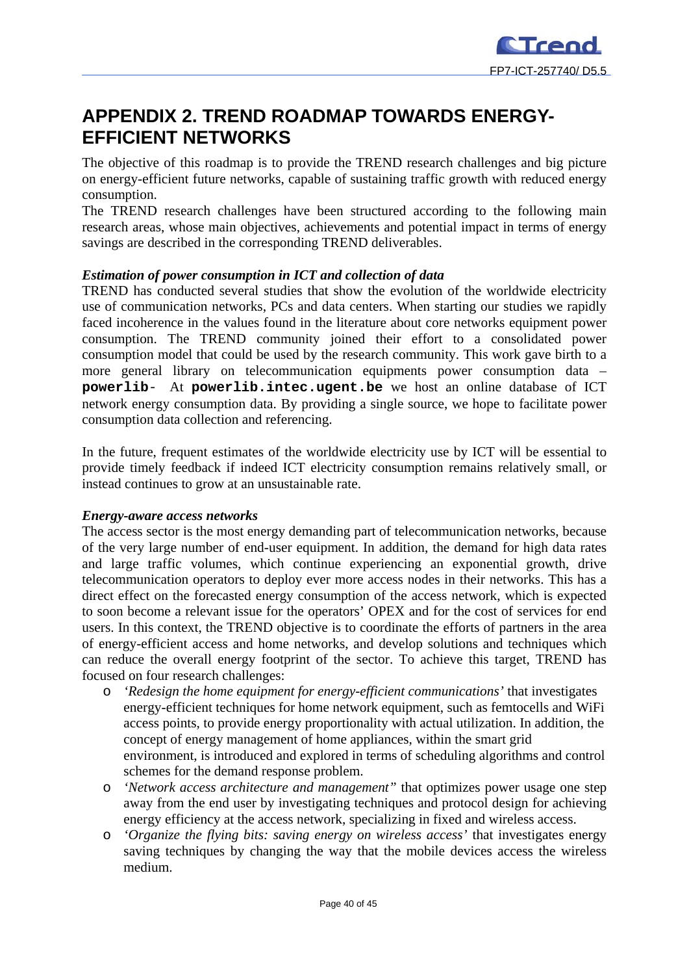

### **APPENDIX 2. TREND ROADMAP TOWARDS ENERGY-EFFICIENT NETWORKS**

The objective of this roadmap is to provide the TREND research challenges and big picture on energy-efficient future networks, capable of sustaining traffic growth with reduced energy consumption.

The TREND research challenges have been structured according to the following main research areas, whose main objectives, achievements and potential impact in terms of energy savings are described in the corresponding TREND deliverables.

#### *Estimation of power consumption in ICT and collection of data*

TREND has conducted several studies that show the evolution of the worldwide electricity use of communication networks, PCs and data centers. When starting our studies we rapidly faced incoherence in the values found in the literature about core networks equipment power consumption. The TREND community joined their effort to a consolidated power consumption model that could be used by the research community. This work gave birth to a more general library on telecommunication equipments power consumption data – **powerlib**- At **powerlib.intec.ugent.be** we host an online database of ICT network energy consumption data. By providing a single source, we hope to facilitate power consumption data collection and referencing.

In the future, frequent estimates of the worldwide electricity use by ICT will be essential to provide timely feedback if indeed ICT electricity consumption remains relatively small, or instead continues to grow at an unsustainable rate.

#### *Energy-aware access networks*

The access sector is the most energy demanding part of telecommunication networks, because of the very large number of end-user equipment. In addition, the demand for high data rates and large traffic volumes, which continue experiencing an exponential growth, drive telecommunication operators to deploy ever more access nodes in their networks. This has a direct effect on the forecasted energy consumption of the access network, which is expected to soon become a relevant issue for the operators' OPEX and for the cost of services for end users. In this context, the TREND objective is to coordinate the efforts of partners in the area of energy-efficient access and home networks, and develop solutions and techniques which can reduce the overall energy footprint of the sector. To achieve this target, TREND has focused on four research challenges:

- o *'Redesign the home equipment for energy-efficient communications'* that investigates energy-efficient techniques for home network equipment, such as femtocells and WiFi access points, to provide energy proportionality with actual utilization. In addition, the concept of energy management of home appliances, within the smart grid environment, is introduced and explored in terms of scheduling algorithms and control schemes for the demand response problem.
- o *'Network access architecture and management"* that optimizes power usage one step away from the end user by investigating techniques and protocol design for achieving energy efficiency at the access network, specializing in fixed and wireless access.
- o *'Organize the flying bits: saving energy on wireless access'* that investigates energy saving techniques by changing the way that the mobile devices access the wireless medium.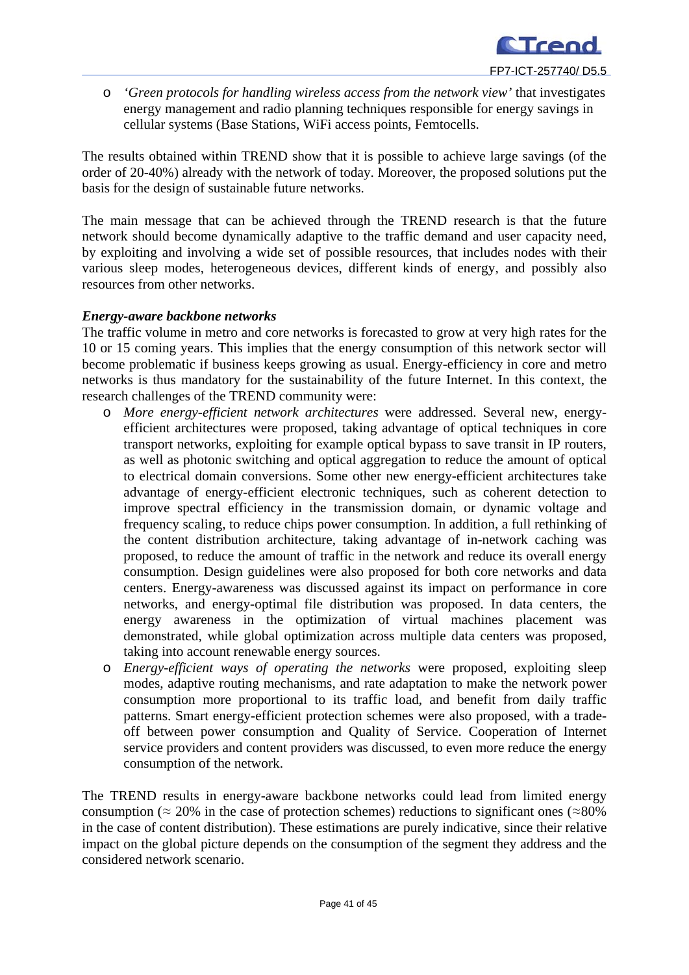o *'Green protocols for handling wireless access from the network view'* that investigates energy management and radio planning techniques responsible for energy savings in cellular systems (Base Stations, WiFi access points, Femtocells.

The results obtained within TREND show that it is possible to achieve large savings (of the order of 20-40%) already with the network of today. Moreover, the proposed solutions put the basis for the design of sustainable future networks.

The main message that can be achieved through the TREND research is that the future network should become dynamically adaptive to the traffic demand and user capacity need, by exploiting and involving a wide set of possible resources, that includes nodes with their various sleep modes, heterogeneous devices, different kinds of energy, and possibly also resources from other networks.

#### *Energy-aware backbone networks*

The traffic volume in metro and core networks is forecasted to grow at very high rates for the 10 or 15 coming years. This implies that the energy consumption of this network sector will become problematic if business keeps growing as usual. Energy-efficiency in core and metro networks is thus mandatory for the sustainability of the future Internet. In this context, the research challenges of the TREND community were:

- o *More energy-efficient network architectures* were addressed. Several new, energyefficient architectures were proposed, taking advantage of optical techniques in core transport networks, exploiting for example optical bypass to save transit in IP routers, as well as photonic switching and optical aggregation to reduce the amount of optical to electrical domain conversions. Some other new energy-efficient architectures take advantage of energy-efficient electronic techniques, such as coherent detection to improve spectral efficiency in the transmission domain, or dynamic voltage and frequency scaling, to reduce chips power consumption. In addition, a full rethinking of the content distribution architecture, taking advantage of in-network caching was proposed, to reduce the amount of traffic in the network and reduce its overall energy consumption. Design guidelines were also proposed for both core networks and data centers. Energy-awareness was discussed against its impact on performance in core networks, and energy-optimal file distribution was proposed. In data centers, the energy awareness in the optimization of virtual machines placement was demonstrated, while global optimization across multiple data centers was proposed, taking into account renewable energy sources.
- o *Energy-efficient ways of operating the networks* were proposed, exploiting sleep modes, adaptive routing mechanisms, and rate adaptation to make the network power consumption more proportional to its traffic load, and benefit from daily traffic patterns. Smart energy-efficient protection schemes were also proposed, with a tradeoff between power consumption and Quality of Service. Cooperation of Internet service providers and content providers was discussed, to even more reduce the energy consumption of the network.

The TREND results in energy-aware backbone networks could lead from limited energy consumption ( $\approx$  20% in the case of protection schemes) reductions to significant ones ( $\approx$ 80%) in the case of content distribution). These estimations are purely indicative, since their relative impact on the global picture depends on the consumption of the segment they address and the considered network scenario.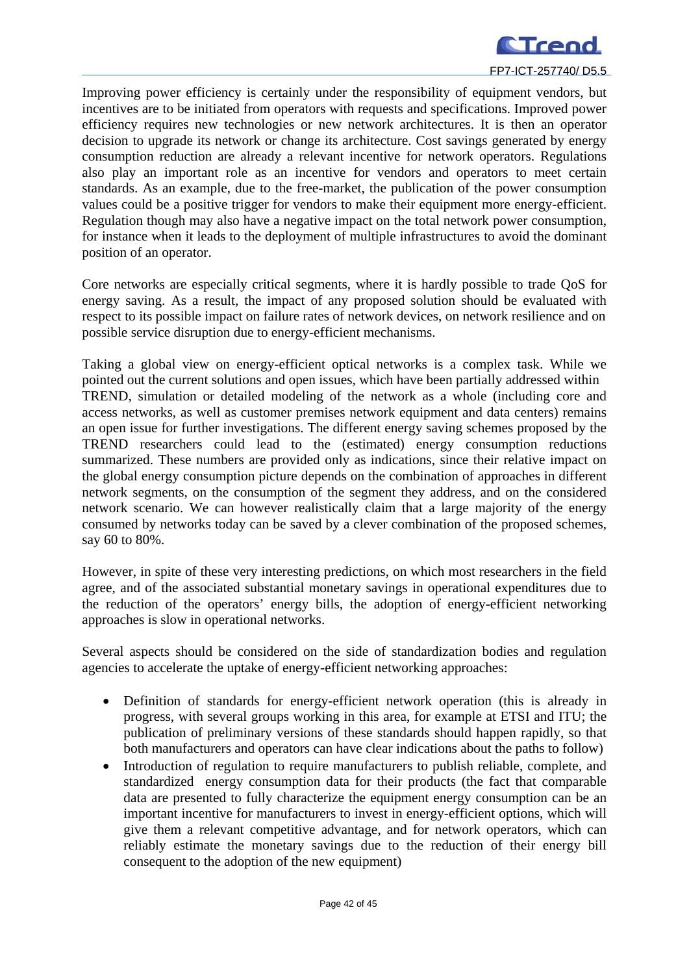

Improving power efficiency is certainly under the responsibility of equipment vendors, but incentives are to be initiated from operators with requests and specifications. Improved power efficiency requires new technologies or new network architectures. It is then an operator decision to upgrade its network or change its architecture. Cost savings generated by energy consumption reduction are already a relevant incentive for network operators. Regulations also play an important role as an incentive for vendors and operators to meet certain standards. As an example, due to the free-market, the publication of the power consumption values could be a positive trigger for vendors to make their equipment more energy-efficient. Regulation though may also have a negative impact on the total network power consumption, for instance when it leads to the deployment of multiple infrastructures to avoid the dominant position of an operator.

Core networks are especially critical segments, where it is hardly possible to trade QoS for energy saving. As a result, the impact of any proposed solution should be evaluated with respect to its possible impact on failure rates of network devices, on network resilience and on possible service disruption due to energy-efficient mechanisms.

Taking a global view on energy-efficient optical networks is a complex task. While we pointed out the current solutions and open issues, which have been partially addressed within TREND, simulation or detailed modeling of the network as a whole (including core and access networks, as well as customer premises network equipment and data centers) remains an open issue for further investigations. The different energy saving schemes proposed by the TREND researchers could lead to the (estimated) energy consumption reductions summarized. These numbers are provided only as indications, since their relative impact on the global energy consumption picture depends on the combination of approaches in different network segments, on the consumption of the segment they address, and on the considered network scenario. We can however realistically claim that a large majority of the energy consumed by networks today can be saved by a clever combination of the proposed schemes, say 60 to 80%.

However, in spite of these very interesting predictions, on which most researchers in the field agree, and of the associated substantial monetary savings in operational expenditures due to the reduction of the operators' energy bills, the adoption of energy-efficient networking approaches is slow in operational networks.

Several aspects should be considered on the side of standardization bodies and regulation agencies to accelerate the uptake of energy-efficient networking approaches:

- Definition of standards for energy-efficient network operation (this is already in progress, with several groups working in this area, for example at ETSI and ITU; the publication of preliminary versions of these standards should happen rapidly, so that both manufacturers and operators can have clear indications about the paths to follow)
- Introduction of regulation to require manufacturers to publish reliable, complete, and standardized energy consumption data for their products (the fact that comparable data are presented to fully characterize the equipment energy consumption can be an important incentive for manufacturers to invest in energy-efficient options, which will give them a relevant competitive advantage, and for network operators, which can reliably estimate the monetary savings due to the reduction of their energy bill consequent to the adoption of the new equipment)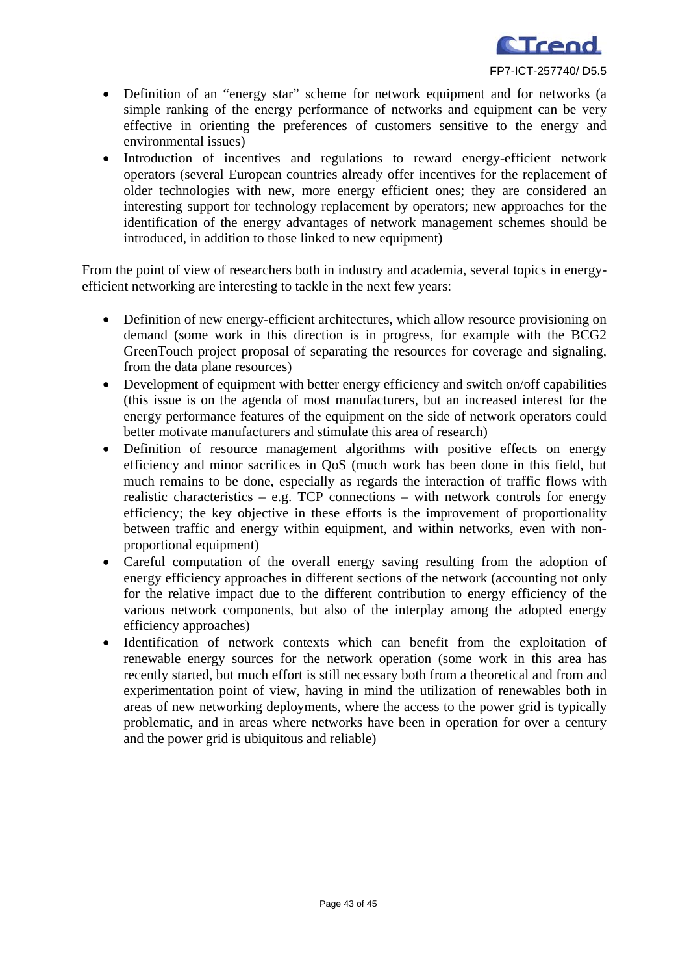

- Definition of an "energy star" scheme for network equipment and for networks (a simple ranking of the energy performance of networks and equipment can be very effective in orienting the preferences of customers sensitive to the energy and environmental issues)
- Introduction of incentives and regulations to reward energy-efficient network operators (several European countries already offer incentives for the replacement of older technologies with new, more energy efficient ones; they are considered an interesting support for technology replacement by operators; new approaches for the identification of the energy advantages of network management schemes should be introduced, in addition to those linked to new equipment)

From the point of view of researchers both in industry and academia, several topics in energyefficient networking are interesting to tackle in the next few years:

- Definition of new energy-efficient architectures, which allow resource provisioning on demand (some work in this direction is in progress, for example with the BCG2 GreenTouch project proposal of separating the resources for coverage and signaling, from the data plane resources)
- Development of equipment with better energy efficiency and switch on/off capabilities (this issue is on the agenda of most manufacturers, but an increased interest for the energy performance features of the equipment on the side of network operators could better motivate manufacturers and stimulate this area of research)
- Definition of resource management algorithms with positive effects on energy efficiency and minor sacrifices in QoS (much work has been done in this field, but much remains to be done, especially as regards the interaction of traffic flows with realistic characteristics – e.g. TCP connections – with network controls for energy efficiency; the key objective in these efforts is the improvement of proportionality between traffic and energy within equipment, and within networks, even with nonproportional equipment)
- Careful computation of the overall energy saving resulting from the adoption of energy efficiency approaches in different sections of the network (accounting not only for the relative impact due to the different contribution to energy efficiency of the various network components, but also of the interplay among the adopted energy efficiency approaches)
- Identification of network contexts which can benefit from the exploitation of renewable energy sources for the network operation (some work in this area has recently started, but much effort is still necessary both from a theoretical and from and experimentation point of view, having in mind the utilization of renewables both in areas of new networking deployments, where the access to the power grid is typically problematic, and in areas where networks have been in operation for over a century and the power grid is ubiquitous and reliable)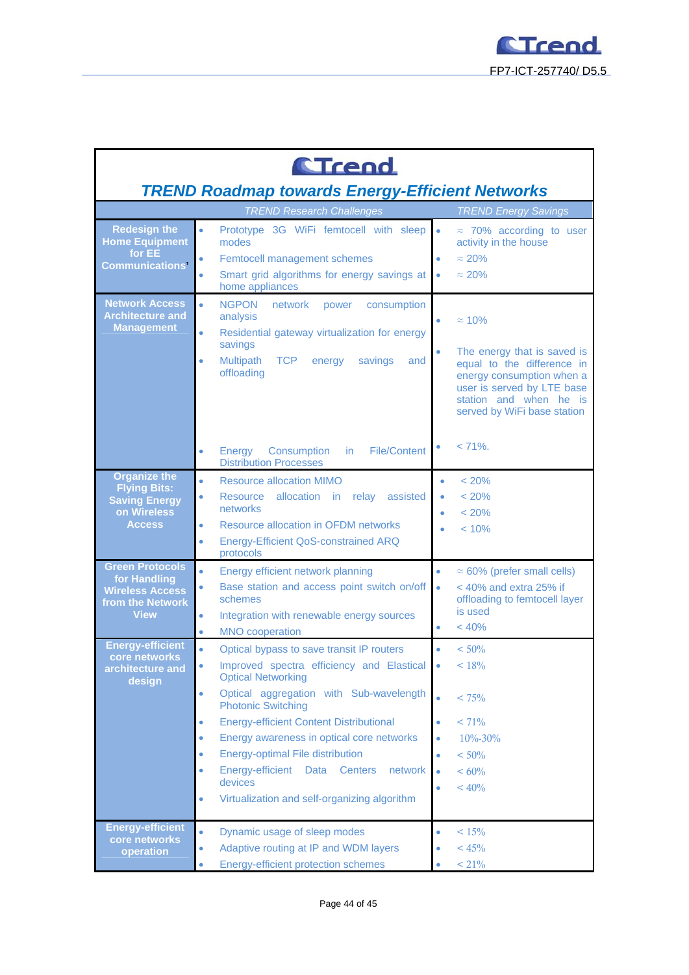

| <b>Cirend</b>                                                                                                                                                                 |                                                                                                                                                                                                                                                                                                                                                                                                                                                              |                                                                                                                                                                                                      |  |  |  |  |  |
|-------------------------------------------------------------------------------------------------------------------------------------------------------------------------------|--------------------------------------------------------------------------------------------------------------------------------------------------------------------------------------------------------------------------------------------------------------------------------------------------------------------------------------------------------------------------------------------------------------------------------------------------------------|------------------------------------------------------------------------------------------------------------------------------------------------------------------------------------------------------|--|--|--|--|--|
| <b>TREND Roadmap towards Energy-Efficient Networks</b>                                                                                                                        |                                                                                                                                                                                                                                                                                                                                                                                                                                                              |                                                                                                                                                                                                      |  |  |  |  |  |
|                                                                                                                                                                               | <b>TREND Research Challenges</b>                                                                                                                                                                                                                                                                                                                                                                                                                             | <b>TREND Energy Savings</b>                                                                                                                                                                          |  |  |  |  |  |
| <b>Redesign the</b><br><b>Home Equipment</b><br>for EE<br><b>Communications'</b>                                                                                              | Prototype 3G WiFi femtocell with sleep<br>$\bullet$<br>modes<br>Femtocell management schemes<br>$\bullet$<br>Smart grid algorithms for energy savings at<br>$\bullet$<br>home appliances                                                                                                                                                                                                                                                                     | $\approx$ 70% according to user<br>$\bullet$<br>activity in the house<br>$\approx 20\%$<br>$\approx 20\%$                                                                                            |  |  |  |  |  |
| <b>Network Access</b><br><b>Architecture and</b><br><b>Management</b>                                                                                                         | <b>NGPON</b><br>consumption<br>$\bullet$<br>network<br>power<br>analysis<br>Residential gateway virtualization for energy<br>$\bullet$<br>savings<br><b>TCP</b><br><b>Multipath</b><br>savings<br>$\bullet$<br>energy<br>and<br>offloading                                                                                                                                                                                                                   | $\approx 10\%$<br>ò<br>The energy that is saved is<br>equal to the difference in<br>energy consumption when a<br>user is served by LTE base<br>station and when he is<br>served by WiFi base station |  |  |  |  |  |
| <b>Organize the</b><br><b>Flying Bits:</b><br><b>Saving Energy</b><br>on Wireless<br><b>Access</b>                                                                            | File/Content<br>Energy<br>Consumption<br>in<br><b>Distribution Processes</b><br><b>Resource allocation MIMO</b><br>$\bullet$<br>Resource<br>allocation in relay<br>assisted<br>$\bullet$<br>networks<br>Resource allocation in OFDM networks<br>$\bullet$<br>Energy-Efficient QoS-constrained ARQ<br>$\bullet$<br>protocols                                                                                                                                  | $< 71\%$ .<br>< 20%<br>< 20%<br>< 20%<br>< 10%                                                                                                                                                       |  |  |  |  |  |
| <b>Green Protocols</b><br>for Handling<br><b>Wireless Access</b><br>from the Network<br><b>View</b><br><b>Energy-efficient</b><br>core networks<br>architecture and<br>design | Energy efficient network planning<br>$\bullet$<br>Base station and access point switch on/off<br>$\bullet$<br>schemes<br>Integration with renewable energy sources<br>$\bullet$<br><b>MNO</b> cooperation<br>$\bullet$<br>$\bullet$<br>Optical bypass to save transit IP routers<br>Improved spectra efficiency and Elastical<br>$\bullet$<br><b>Optical Networking</b><br>Optical aggregation with Sub-wavelength<br>$\bullet$<br><b>Photonic Switching</b> | $\approx$ 60% (prefer small cells)<br>$\bullet$<br>$<$ 40% and extra 25% if<br>$\bullet$<br>offloading to femtocell layer<br>is used<br>< 40%<br>$< 50\%$<br>< 18%<br>$\bullet$<br>$< 75\%$          |  |  |  |  |  |
| <b>Energy-efficient</b><br>core networks<br>operation                                                                                                                         | <b>Energy-efficient Content Distributional</b><br>Energy awareness in optical core networks<br>۰<br><b>Energy-optimal File distribution</b><br>Energy-efficient<br>Data<br><b>Centers</b><br>network<br>devices<br>Virtualization and self-organizing algorithm<br>۰<br>Dynamic usage of sleep modes<br>$\bullet$<br>Adaptive routing at IP and WDM layers<br>$\bullet$                                                                                      | $< 71\%$<br>$10\% - 30\%$<br>$< 50\%$<br>$< 60\%$<br>$< 40\%$<br>$< 15\%$<br>$< 45\%$                                                                                                                |  |  |  |  |  |